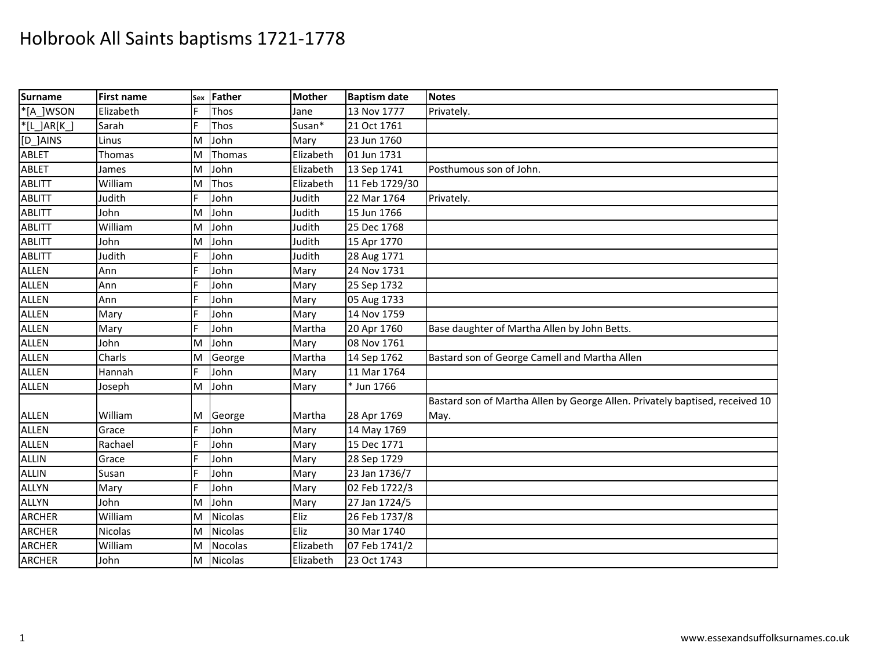| <b>Surname</b> | <b>First name</b> | Sex | Father         | <b>Mother</b> | <b>Baptism date</b> | <b>Notes</b>                                                                 |
|----------------|-------------------|-----|----------------|---------------|---------------------|------------------------------------------------------------------------------|
| *[A_]WSON      | Elizabeth         | F   | Thos           | Jane          | 13 Nov 1777         | Privately.                                                                   |
| $*$ [L_]AR[K_] | Sarah             |     | Thos           | Susan*        | 21 Oct 1761         |                                                                              |
| [D_]AINS       | Linus             | M   | John           | Mary          | 23 Jun 1760         |                                                                              |
| <b>ABLET</b>   | Thomas            | M   | Thomas         | Elizabeth     | 01 Jun 1731         |                                                                              |
| <b>ABLET</b>   | James             | M   | John           | Elizabeth     | 13 Sep 1741         | Posthumous son of John.                                                      |
| <b>ABLITT</b>  | William           | M   | Thos           | Elizabeth     | 11 Feb 1729/30      |                                                                              |
| <b>ABLITT</b>  | Judith            |     | John           | Judith        | 22 Mar 1764         | Privately.                                                                   |
| <b>ABLITT</b>  | John              | M   | John           | Judith        | 15 Jun 1766         |                                                                              |
| <b>ABLITT</b>  | William           | M   | John           | Judith        | 25 Dec 1768         |                                                                              |
| <b>ABLITT</b>  | John              | M   | John           | Judith        | 15 Apr 1770         |                                                                              |
| <b>ABLITT</b>  | Judith            |     | John           | Judith        | 28 Aug 1771         |                                                                              |
| <b>ALLEN</b>   | Ann               |     | John           | Mary          | 24 Nov 1731         |                                                                              |
| <b>ALLEN</b>   | Ann               |     | John           | Mary          | 25 Sep 1732         |                                                                              |
| <b>ALLEN</b>   | Ann               |     | John           | Mary          | 05 Aug 1733         |                                                                              |
| <b>ALLEN</b>   | Mary              |     | John           | Mary          | 14 Nov 1759         |                                                                              |
| <b>ALLEN</b>   | Mary              |     | John           | Martha        | 20 Apr 1760         | Base daughter of Martha Allen by John Betts.                                 |
| <b>ALLEN</b>   | John              | M   | John           | Mary          | 08 Nov 1761         |                                                                              |
| <b>ALLEN</b>   | Charls            | M   | George         | Martha        | 14 Sep 1762         | Bastard son of George Camell and Martha Allen                                |
| <b>ALLEN</b>   | Hannah            |     | John           | Mary          | 11 Mar 1764         |                                                                              |
| <b>ALLEN</b>   | Joseph            | M   | John           | Mary          | * Jun 1766          |                                                                              |
|                |                   |     |                |               |                     | Bastard son of Martha Allen by George Allen. Privately baptised, received 10 |
| <b>ALLEN</b>   | William           | ΙM  | George         | Martha        | 28 Apr 1769         | May.                                                                         |
| <b>ALLEN</b>   | Grace             | F   | John           | Mary          | 14 May 1769         |                                                                              |
| <b>ALLEN</b>   | Rachael           |     | John           | Mary          | 15 Dec 1771         |                                                                              |
| <b>ALLIN</b>   | Grace             |     | John           | Mary          | 28 Sep 1729         |                                                                              |
| <b>ALLIN</b>   | Susan             |     | John           | Mary          | 23 Jan 1736/7       |                                                                              |
| <b>ALLYN</b>   | Mary              |     | John           | Mary          | 02 Feb 1722/3       |                                                                              |
| <b>ALLYN</b>   | John              | M   | John           | Mary          | 27 Jan 1724/5       |                                                                              |
| <b>ARCHER</b>  | William           | M   | <b>Nicolas</b> | Eliz          | 26 Feb 1737/8       |                                                                              |
| <b>ARCHER</b>  | <b>Nicolas</b>    | M   | Nicolas        | Eliz          | 30 Mar 1740         |                                                                              |
| <b>ARCHER</b>  | William           | M   | Nocolas        | Elizabeth     | 07 Feb 1741/2       |                                                                              |
| <b>ARCHER</b>  | John              | M   | Nicolas        | Elizabeth     | 23 Oct 1743         |                                                                              |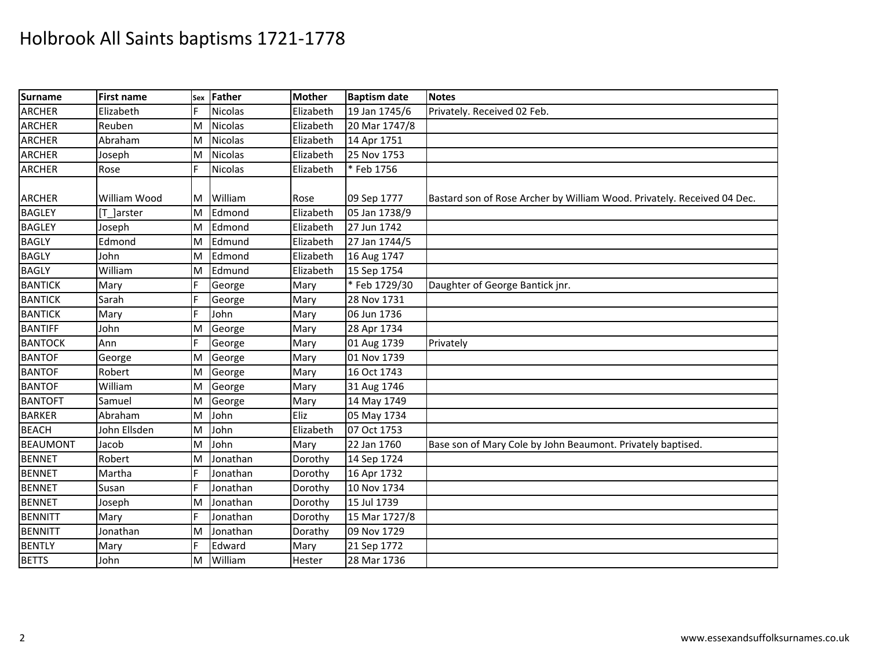| <b>Surname</b>  | <b>First name</b> | Sex | Father         | <b>Mother</b> | <b>Baptism date</b> | <b>Notes</b>                                                            |
|-----------------|-------------------|-----|----------------|---------------|---------------------|-------------------------------------------------------------------------|
| <b>ARCHER</b>   | Elizabeth         | E   | <b>Nicolas</b> | Elizabeth     | 19 Jan 1745/6       | Privately. Received 02 Feb.                                             |
| <b>ARCHER</b>   | Reuben            | M   | Nicolas        | Elizabeth     | 20 Mar 1747/8       |                                                                         |
| <b>ARCHER</b>   | Abraham           | M   | <b>Nicolas</b> | Elizabeth     | 14 Apr 1751         |                                                                         |
| <b>ARCHER</b>   | Joseph            | M   | <b>Nicolas</b> | Elizabeth     | 25 Nov 1753         |                                                                         |
| <b>ARCHER</b>   | Rose              | F   | <b>Nicolas</b> | Elizabeth     | * Feb 1756          |                                                                         |
| <b>ARCHER</b>   | William Wood      | ΙM  | William        | Rose          | 09 Sep 1777         | Bastard son of Rose Archer by William Wood. Privately. Received 04 Dec. |
| <b>BAGLEY</b>   | [T ]arster        | M   | Edmond         | Elizabeth     | 05 Jan 1738/9       |                                                                         |
| <b>BAGLEY</b>   | Joseph            | M   | Edmond         | Elizabeth     | 27 Jun 1742         |                                                                         |
| <b>BAGLY</b>    | Edmond            | M   | Edmund         | Elizabeth     | 27 Jan 1744/5       |                                                                         |
| <b>BAGLY</b>    | John              | M   | Edmond         | Elizabeth     | 16 Aug 1747         |                                                                         |
| <b>BAGLY</b>    | William           | M   | Edmund         | Elizabeth     | 15 Sep 1754         |                                                                         |
| <b>BANTICK</b>  | Mary              | E   | George         | Mary          | * Feb 1729/30       | Daughter of George Bantick jnr.                                         |
| <b>BANTICK</b>  | Sarah             | F   | George         | Mary          | 28 Nov 1731         |                                                                         |
| <b>BANTICK</b>  | Mary              | E   | John           | Mary          | 06 Jun 1736         |                                                                         |
| <b>BANTIFF</b>  | John              | M   | George         | Mary          | 28 Apr 1734         |                                                                         |
| <b>BANTOCK</b>  | Ann               | E   | George         | Mary          | 01 Aug 1739         | Privately                                                               |
| <b>BANTOF</b>   | George            | M   | George         | Mary          | 01 Nov 1739         |                                                                         |
| <b>BANTOF</b>   | Robert            | M   | George         | Mary          | 16 Oct 1743         |                                                                         |
| <b>BANTOF</b>   | William           | M   | George         | Mary          | 31 Aug 1746         |                                                                         |
| <b>BANTOFT</b>  | Samuel            | ΙM  | George         | Mary          | 14 May 1749         |                                                                         |
| <b>BARKER</b>   | Abraham           | M   | John           | Eliz          | 05 May 1734         |                                                                         |
| <b>BEACH</b>    | John Ellsden      | M   | John           | Elizabeth     | 07 Oct 1753         |                                                                         |
| <b>BEAUMONT</b> | Jacob             | M   | John           | Mary          | 22 Jan 1760         | Base son of Mary Cole by John Beaumont. Privately baptised.             |
| <b>BENNET</b>   | Robert            | M   | Jonathan       | Dorothy       | 14 Sep 1724         |                                                                         |
| <b>BENNET</b>   | Martha            | E   | Jonathan       | Dorothy       | 16 Apr 1732         |                                                                         |
| <b>BENNET</b>   | Susan             | E   | Jonathan       | Dorothy       | 10 Nov 1734         |                                                                         |
| <b>BENNET</b>   | Joseph            | M   | Jonathan       | Dorothy       | 15 Jul 1739         |                                                                         |
| <b>BENNITT</b>  | Mary              | F   | Jonathan       | Dorothy       | 15 Mar 1727/8       |                                                                         |
| <b>BENNITT</b>  | Jonathan          | M   | Jonathan       | Dorathy       | 09 Nov 1729         |                                                                         |
| <b>BENTLY</b>   | Mary              | E   | Edward         | Mary          | 21 Sep 1772         |                                                                         |
| <b>BETTS</b>    | John              | M   | William        | Hester        | 28 Mar 1736         |                                                                         |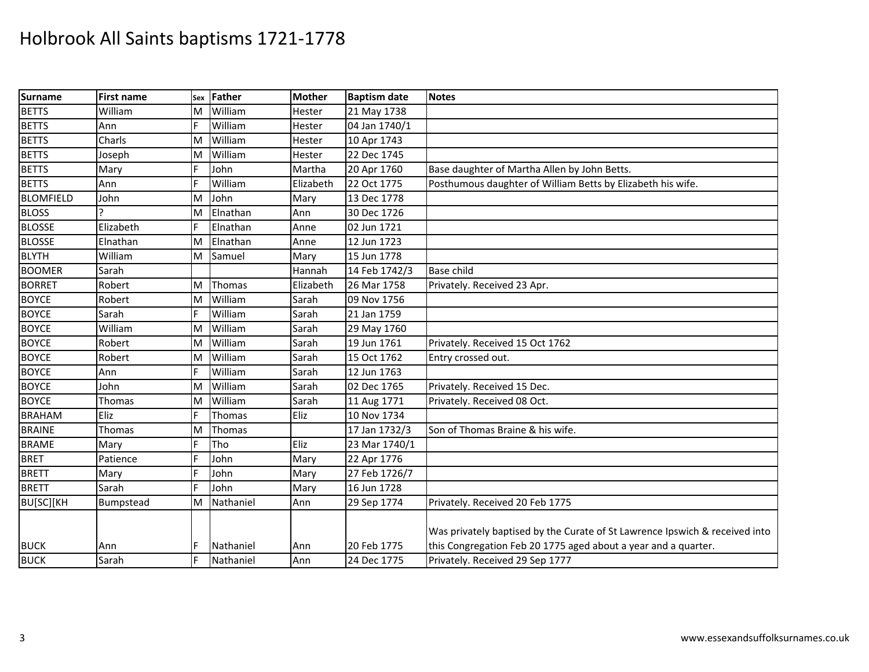| Surname          | First name | Sex | Father    | <b>Mother</b> | <b>Baptism date</b> | <b>Notes</b>                                                                |
|------------------|------------|-----|-----------|---------------|---------------------|-----------------------------------------------------------------------------|
| <b>BETTS</b>     | William    | M   | William   | Hester        | 21 May 1738         |                                                                             |
| <b>BETTS</b>     | Ann        |     | William   | Hester        | 04 Jan 1740/1       |                                                                             |
| <b>BETTS</b>     | Charls     | M   | William   | Hester        | 10 Apr 1743         |                                                                             |
| <b>BETTS</b>     | Joseph     | M   | William   | Hester        | 22 Dec 1745         |                                                                             |
| <b>BETTS</b>     | Mary       | F   | John      | Martha        | 20 Apr 1760         | Base daughter of Martha Allen by John Betts.                                |
| <b>BETTS</b>     | Ann        |     | William   | Elizabeth     | 22 Oct 1775         | Posthumous daughter of William Betts by Elizabeth his wife.                 |
| <b>BLOMFIELD</b> | John       | M   | John      | Mary          | 13 Dec 1778         |                                                                             |
| <b>BLOSS</b>     |            | M   | Elnathan  | Ann           | 30 Dec 1726         |                                                                             |
| <b>BLOSSE</b>    | Elizabeth  | F   | Elnathan  | Anne          | 02 Jun 1721         |                                                                             |
| <b>BLOSSE</b>    | Elnathan   | M   | Elnathan  | Anne          | 12 Jun 1723         |                                                                             |
| <b>BLYTH</b>     | William    | M   | Samuel    | Mary          | 15 Jun 1778         |                                                                             |
| <b>BOOMER</b>    | Sarah      |     |           | Hannah        | 14 Feb 1742/3       | <b>Base child</b>                                                           |
| <b>BORRET</b>    | Robert     | M   | Thomas    | Elizabeth     | 26 Mar 1758         | Privately. Received 23 Apr.                                                 |
| <b>BOYCE</b>     | Robert     | M   | William   | Sarah         | 09 Nov 1756         |                                                                             |
| <b>BOYCE</b>     | Sarah      |     | William   | Sarah         | 21 Jan 1759         |                                                                             |
| <b>BOYCE</b>     | William    | M   | William   | Sarah         | 29 May 1760         |                                                                             |
| <b>BOYCE</b>     | Robert     | M   | William   | Sarah         | 19 Jun 1761         | Privately. Received 15 Oct 1762                                             |
| <b>BOYCE</b>     | Robert     | M   | William   | Sarah         | 15 Oct 1762         | Entry crossed out.                                                          |
| <b>BOYCE</b>     | Ann        |     | William   | Sarah         | 12 Jun 1763         |                                                                             |
| <b>BOYCE</b>     | John       | M   | William   | Sarah         | 02 Dec 1765         | Privately. Received 15 Dec.                                                 |
| <b>BOYCE</b>     | Thomas     | M   | William   | Sarah         | 11 Aug 1771         | Privately. Received 08 Oct.                                                 |
| <b>BRAHAM</b>    | Eliz       |     | Thomas    | Eliz          | 10 Nov 1734         |                                                                             |
| <b>BRAINE</b>    | Thomas     | M   | Thomas    |               | 17 Jan 1732/3       | Son of Thomas Braine & his wife.                                            |
| <b>BRAME</b>     | Mary       | F   | Tho       | Eliz          | 23 Mar 1740/1       |                                                                             |
| <b>BRET</b>      | Patience   |     | John      | Mary          | 22 Apr 1776         |                                                                             |
| <b>BRETT</b>     | Mary       |     | John      | Mary          | 27 Feb 1726/7       |                                                                             |
| <b>BRETT</b>     | Sarah      |     | John      | Mary          | 16 Jun 1728         |                                                                             |
| BU[SC][KH        | Bumpstead  | M   | Nathaniel | Ann           | 29 Sep 1774         | Privately. Received 20 Feb 1775                                             |
|                  |            |     |           |               |                     | Was privately baptised by the Curate of St Lawrence Ipswich & received into |
| <b>BUCK</b>      | Ann        |     | Nathaniel | Ann           | 20 Feb 1775         | this Congregation Feb 20 1775 aged about a year and a quarter.              |
| <b>BUCK</b>      | Sarah      |     | Nathaniel | Ann           | 24 Dec 1775         | Privately. Received 29 Sep 1777                                             |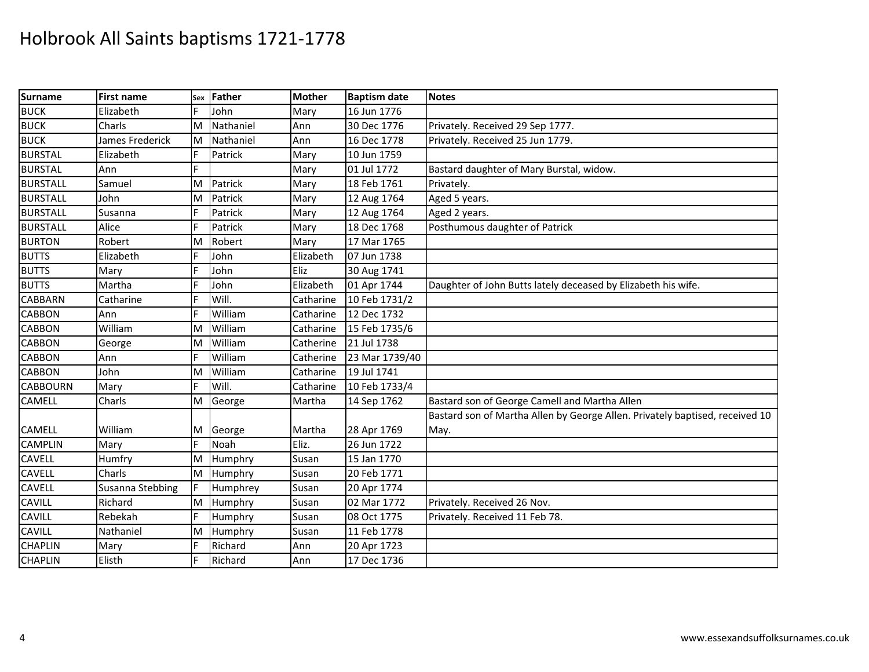| Surname         | <b>First name</b> |   | sex Father | <b>Mother</b> | <b>Baptism date</b> | <b>Notes</b>                                                                 |
|-----------------|-------------------|---|------------|---------------|---------------------|------------------------------------------------------------------------------|
| <b>BUCK</b>     | Elizabeth         | F | John       | Mary          | 16 Jun 1776         |                                                                              |
| <b>BUCK</b>     | Charls            | M | Nathaniel  | Ann           | 30 Dec 1776         | Privately. Received 29 Sep 1777.                                             |
| <b>BUCK</b>     | James Frederick   | M | Nathaniel  | Ann           | 16 Dec 1778         | Privately. Received 25 Jun 1779.                                             |
| <b>BURSTAL</b>  | Elizabeth         |   | Patrick    | Mary          | 10 Jun 1759         |                                                                              |
| <b>BURSTAL</b>  | Ann               | F |            | Mary          | 01 Jul 1772         | Bastard daughter of Mary Burstal, widow.                                     |
| <b>BURSTALL</b> | Samuel            | M | Patrick    | Mary          | 18 Feb 1761         | Privately.                                                                   |
| <b>BURSTALL</b> | John              | M | Patrick    | Mary          | 12 Aug 1764         | Aged 5 years.                                                                |
| <b>BURSTALL</b> | Susanna           | E | Patrick    | Mary          | 12 Aug 1764         | Aged 2 years.                                                                |
| <b>BURSTALL</b> | Alice             | E | Patrick    | Mary          | 18 Dec 1768         | Posthumous daughter of Patrick                                               |
| <b>BURTON</b>   | Robert            | M | Robert     | Mary          | 17 Mar 1765         |                                                                              |
| <b>BUTTS</b>    | Elizabeth         |   | John       | Elizabeth     | 07 Jun 1738         |                                                                              |
| <b>BUTTS</b>    | Mary              | F | John       | Eliz          | 30 Aug 1741         |                                                                              |
| <b>BUTTS</b>    | Martha            | E | John       | Elizabeth     | 01 Apr 1744         | Daughter of John Butts lately deceased by Elizabeth his wife.                |
| <b>CABBARN</b>  | Catharine         |   | Will.      | Catharine     | 10 Feb 1731/2       |                                                                              |
| <b>CABBON</b>   | Ann               |   | William    | Catharine     | 12 Dec 1732         |                                                                              |
| <b>CABBON</b>   | William           | M | William    | Catharine     | 15 Feb 1735/6       |                                                                              |
| <b>CABBON</b>   | George            | M | William    | Catherine     | 21 Jul 1738         |                                                                              |
| <b>CABBON</b>   | Ann               | F | William    | Catherine     | 23 Mar 1739/40      |                                                                              |
| <b>CABBON</b>   | John              | M | William    | Catharine     | 19 Jul 1741         |                                                                              |
| <b>CABBOURN</b> | Mary              | F | Will.      | Catharine     | 10 Feb 1733/4       |                                                                              |
| <b>CAMELL</b>   | Charls            | M | George     | Martha        | 14 Sep 1762         | Bastard son of George Camell and Martha Allen                                |
|                 |                   |   |            |               |                     | Bastard son of Martha Allen by George Allen. Privately baptised, received 10 |
| <b>CAMELL</b>   | William           | M | George     | Martha        | 28 Apr 1769         | May.                                                                         |
| <b>CAMPLIN</b>  | Mary              | F | Noah       | Eliz.         | 26 Jun 1722         |                                                                              |
| <b>CAVELL</b>   | Humfry            | M | Humphry    | Susan         | 15 Jan 1770         |                                                                              |
| <b>CAVELL</b>   | Charls            | M | Humphry    | Susan         | 20 Feb 1771         |                                                                              |
| CAVELL          | Susanna Stebbing  |   | Humphrey   | Susan         | 20 Apr 1774         |                                                                              |
| <b>CAVILL</b>   | Richard           | M | Humphry    | Susan         | 02 Mar 1772         | Privately. Received 26 Nov.                                                  |
| <b>CAVILL</b>   | Rebekah           | E | Humphry    | Susan         | 08 Oct 1775         | Privately. Received 11 Feb 78.                                               |
| <b>CAVILL</b>   | Nathaniel         | M | Humphry    | Susan         | 11 Feb 1778         |                                                                              |
| <b>CHAPLIN</b>  | Mary              | F | Richard    | Ann           | 20 Apr 1723         |                                                                              |
| <b>CHAPLIN</b>  | Elisth            |   | Richard    | Ann           | 17 Dec 1736         |                                                                              |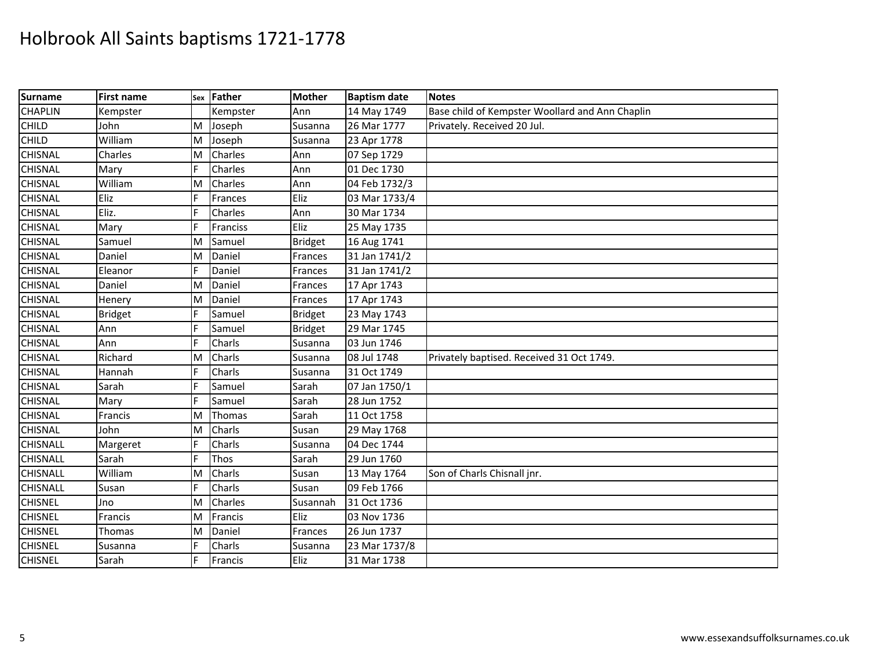| Surname         | <b>First name</b> |     | sex Father | <b>Mother</b>  | <b>Baptism date</b> | <b>Notes</b>                                    |
|-----------------|-------------------|-----|------------|----------------|---------------------|-------------------------------------------------|
| <b>CHAPLIN</b>  | Kempster          |     | Kempster   | Ann            | 14 May 1749         | Base child of Kempster Woollard and Ann Chaplin |
| <b>CHILD</b>    | John              | M   | Joseph     | Susanna        | 26 Mar 1777         | Privately. Received 20 Jul.                     |
| <b>CHILD</b>    | William           | M   | Joseph     | Susanna        | 23 Apr 1778         |                                                 |
| <b>CHISNAL</b>  | Charles           | M   | Charles    | Ann            | 07 Sep 1729         |                                                 |
| <b>CHISNAL</b>  | Mary              | IF. | Charles    | Ann            | 01 Dec 1730         |                                                 |
| <b>CHISNAL</b>  | William           | M   | Charles    | Ann            | 04 Feb 1732/3       |                                                 |
| <b>CHISNAL</b>  | Eliz              |     | Frances    | Eliz           | 03 Mar 1733/4       |                                                 |
| <b>CHISNAL</b>  | Eliz.             |     | Charles    | Ann            | 30 Mar 1734         |                                                 |
| <b>CHISNAL</b>  | Mary              | F   | Franciss   | Eliz           | 25 May 1735         |                                                 |
| <b>CHISNAL</b>  | Samuel            | M   | Samuel     | <b>Bridget</b> | 16 Aug 1741         |                                                 |
| <b>CHISNAL</b>  | Daniel            | M   | Daniel     | Frances        | 31 Jan 1741/2       |                                                 |
| <b>CHISNAL</b>  | Eleanor           | IF. | Daniel     | Frances        | 31 Jan 1741/2       |                                                 |
| <b>CHISNAL</b>  | Daniel            | M   | Daniel     | Frances        | 17 Apr 1743         |                                                 |
| <b>CHISNAL</b>  | Henery            | M   | Daniel     | Frances        | 17 Apr 1743         |                                                 |
| <b>CHISNAL</b>  | <b>Bridget</b>    |     | Samuel     | <b>Bridget</b> | 23 May 1743         |                                                 |
| <b>CHISNAL</b>  | Ann               | F   | Samuel     | <b>Bridget</b> | 29 Mar 1745         |                                                 |
| <b>CHISNAL</b>  | Ann               |     | Charls     | Susanna        | 03 Jun 1746         |                                                 |
| <b>CHISNAL</b>  | Richard           | M   | Charls     | Susanna        | 08 Jul 1748         | Privately baptised. Received 31 Oct 1749.       |
| <b>CHISNAL</b>  | Hannah            |     | Charls     | Susanna        | 31 Oct 1749         |                                                 |
| <b>CHISNAL</b>  | Sarah             | F   | Samuel     | Sarah          | 07 Jan 1750/1       |                                                 |
| <b>CHISNAL</b>  | Mary              |     | Samuel     | Sarah          | 28 Jun 1752         |                                                 |
| <b>CHISNAL</b>  | Francis           | ΙM  | Thomas     | Sarah          | 11 Oct 1758         |                                                 |
| <b>CHISNAL</b>  | John              | M   | Charls     | Susan          | 29 May 1768         |                                                 |
| <b>CHISNALL</b> | Margeret          | IF. | Charls     | Susanna        | 04 Dec 1744         |                                                 |
| <b>CHISNALL</b> | Sarah             | E   | Thos       | Sarah          | 29 Jun 1760         |                                                 |
| <b>CHISNALL</b> | William           | M   | Charls     | Susan          | 13 May 1764         | Son of Charls Chisnall jnr.                     |
| <b>CHISNALL</b> | Susan             |     | Charls     | Susan          | 09 Feb 1766         |                                                 |
| <b>CHISNEL</b>  | Jno               | M   | Charles    | Susannah       | 31 Oct 1736         |                                                 |
| <b>CHISNEL</b>  | Francis           | M   | Francis    | Eliz           | 03 Nov 1736         |                                                 |
| <b>CHISNEL</b>  | Thomas            | ΙM  | Daniel     | Frances        | 26 Jun 1737         |                                                 |
| <b>CHISNEL</b>  | Susanna           |     | Charls     | Susanna        | 23 Mar 1737/8       |                                                 |
| <b>CHISNEL</b>  | Sarah             |     | Francis    | Eliz           | 31 Mar 1738         |                                                 |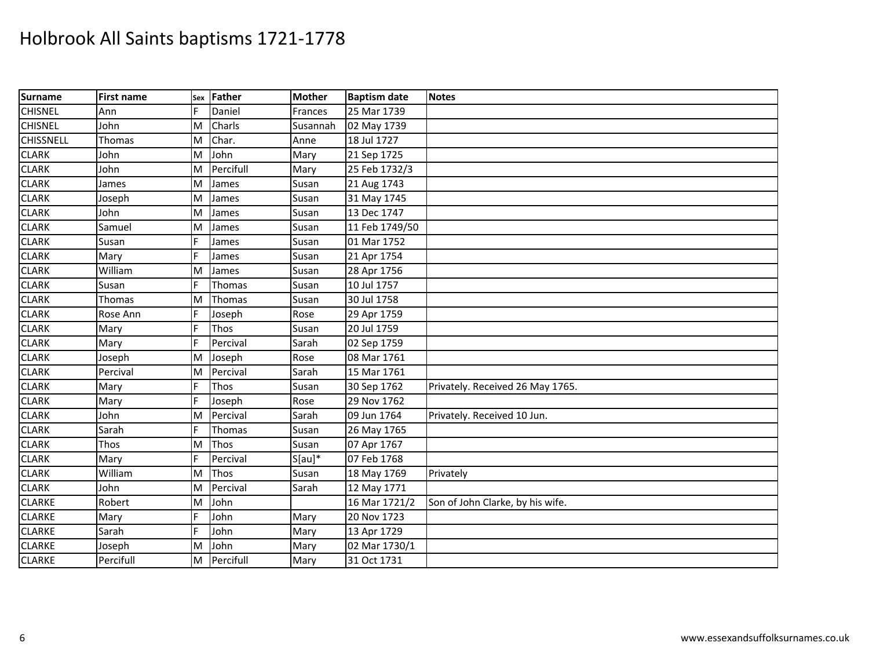| Surname          | First name    |   | sex Father | <b>Mother</b> | <b>Baptism date</b> | <b>Notes</b>                     |
|------------------|---------------|---|------------|---------------|---------------------|----------------------------------|
| <b>CHISNEL</b>   | Ann           |   | Daniel     | Frances       | 25 Mar 1739         |                                  |
| <b>CHISNEL</b>   | John          | M | Charls     | Susannah      | 02 May 1739         |                                  |
| <b>CHISSNELL</b> | <b>Thomas</b> | M | Char.      | Anne          | 18 Jul 1727         |                                  |
| <b>CLARK</b>     | John          | M | John       | Mary          | 21 Sep 1725         |                                  |
| <b>CLARK</b>     | John          | M | Percifull  | Mary          | 25 Feb 1732/3       |                                  |
| <b>CLARK</b>     | James         | M | James      | Susan         | 21 Aug 1743         |                                  |
| <b>CLARK</b>     | Joseph        | M | James      | Susan         | 31 May 1745         |                                  |
| <b>CLARK</b>     | John          | M | James      | Susan         | 13 Dec 1747         |                                  |
| <b>CLARK</b>     | Samuel        | M | James      | Susan         | 11 Feb 1749/50      |                                  |
| <b>CLARK</b>     | Susan         |   | James      | Susan         | 01 Mar 1752         |                                  |
| <b>CLARK</b>     | Mary          |   | James      | Susan         | 21 Apr 1754         |                                  |
| <b>CLARK</b>     | William       | M | James      | Susan         | 28 Apr 1756         |                                  |
| <b>CLARK</b>     | Susan         |   | Thomas     | Susan         | 10 Jul 1757         |                                  |
| <b>CLARK</b>     | Thomas        | M | Thomas     | Susan         | 30 Jul 1758         |                                  |
| <b>CLARK</b>     | Rose Ann      |   | Joseph     | Rose          | 29 Apr 1759         |                                  |
| <b>CLARK</b>     | Mary          |   | Thos       | Susan         | 20 Jul 1759         |                                  |
| <b>CLARK</b>     | Mary          |   | Percival   | Sarah         | 02 Sep 1759         |                                  |
| <b>CLARK</b>     | Joseph        | M | Joseph     | Rose          | 08 Mar 1761         |                                  |
| <b>CLARK</b>     | Percival      | M | Percival   | Sarah         | 15 Mar 1761         |                                  |
| <b>CLARK</b>     | Mary          |   | Thos       | Susan         | 30 Sep 1762         | Privately. Received 26 May 1765. |
| <b>CLARK</b>     | Mary          |   | Joseph     | Rose          | 29 Nov 1762         |                                  |
| <b>CLARK</b>     | John          | M | Percival   | Sarah         | 09 Jun 1764         | Privately. Received 10 Jun.      |
| <b>CLARK</b>     | Sarah         |   | Thomas     | Susan         | 26 May 1765         |                                  |
| <b>CLARK</b>     | Thos          | M | Thos       | Susan         | 07 Apr 1767         |                                  |
| <b>CLARK</b>     | Mary          |   | Percival   | $S[au]*$      | 07 Feb 1768         |                                  |
| <b>CLARK</b>     | William       | M | Thos       | Susan         | 18 May 1769         | Privately                        |
| <b>CLARK</b>     | John          | M | Percival   | Sarah         | 12 May 1771         |                                  |
| <b>CLARKE</b>    | Robert        | M | John       |               | 16 Mar 1721/2       | Son of John Clarke, by his wife. |
| <b>CLARKE</b>    | Mary          |   | John       | Mary          | 20 Nov 1723         |                                  |
| <b>CLARKE</b>    | Sarah         |   | John       | Mary          | 13 Apr 1729         |                                  |
| <b>CLARKE</b>    | Joseph        | M | John       | Mary          | 02 Mar 1730/1       |                                  |
| <b>CLARKE</b>    | Percifull     | M | Percifull  | Mary          | 31 Oct 1731         |                                  |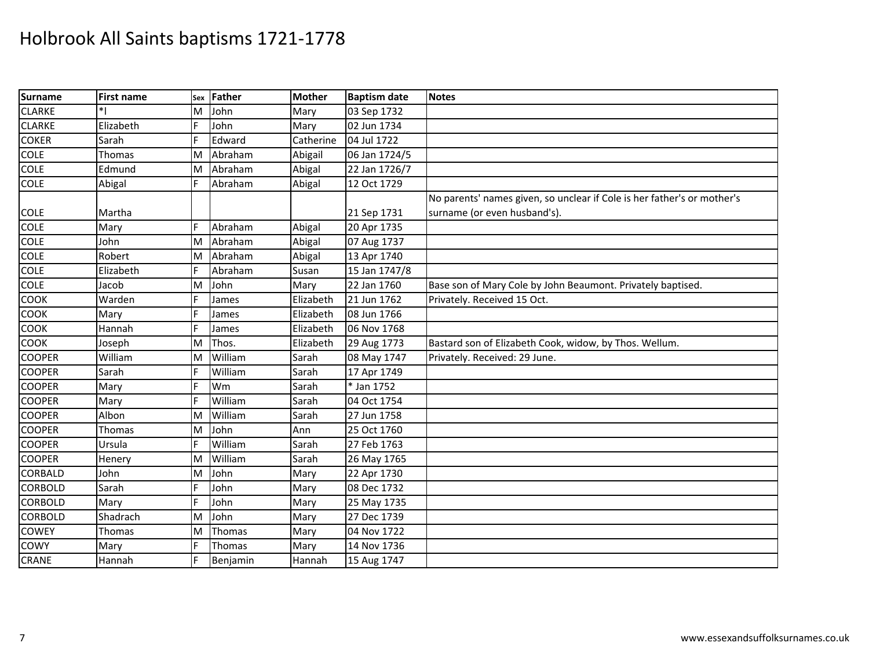| <b>Surname</b> | <b>First name</b> | Sex | Father   | <b>Mother</b> | <b>Baptism date</b> | <b>Notes</b>                                                            |
|----------------|-------------------|-----|----------|---------------|---------------------|-------------------------------------------------------------------------|
| <b>CLARKE</b>  |                   | M   | John     | Mary          | 03 Sep 1732         |                                                                         |
| <b>CLARKE</b>  | Elizabeth         |     | John     | Mary          | 02 Jun 1734         |                                                                         |
| <b>COKER</b>   | Sarah             |     | Edward   | Catherine     | 04 Jul 1722         |                                                                         |
| <b>COLE</b>    | Thomas            | M   | Abraham  | Abigail       | 06 Jan 1724/5       |                                                                         |
| <b>COLE</b>    | Edmund            | M   | Abraham  | Abigal        | 22 Jan 1726/7       |                                                                         |
| <b>COLE</b>    | Abigal            | F   | Abraham  | Abigal        | 12 Oct 1729         |                                                                         |
|                |                   |     |          |               |                     | No parents' names given, so unclear if Cole is her father's or mother's |
| <b>COLE</b>    | Martha            |     |          |               | 21 Sep 1731         | surname (or even husband's).                                            |
| <b>COLE</b>    | Mary              |     | Abraham  | Abigal        | 20 Apr 1735         |                                                                         |
| <b>COLE</b>    | John              | M   | Abraham  | Abigal        | 07 Aug 1737         |                                                                         |
| <b>COLE</b>    | Robert            | M   | Abraham  | Abigal        | 13 Apr 1740         |                                                                         |
| <b>COLE</b>    | Elizabeth         |     | Abraham  | Susan         | 15 Jan 1747/8       |                                                                         |
| <b>COLE</b>    | Jacob             | M   | John     | Mary          | 22 Jan 1760         | Base son of Mary Cole by John Beaumont. Privately baptised.             |
| <b>COOK</b>    | Warden            | F   | James    | Elizabeth     | 21 Jun 1762         | Privately. Received 15 Oct.                                             |
| <b>COOK</b>    | Mary              |     | James    | Elizabeth     | 08 Jun 1766         |                                                                         |
| COOK           | Hannah            |     | James    | Elizabeth     | 06 Nov 1768         |                                                                         |
| COOK           | Joseph            | M   | Thos.    | Elizabeth     | 29 Aug 1773         | Bastard son of Elizabeth Cook, widow, by Thos. Wellum.                  |
| <b>COOPER</b>  | William           | ΙM  | William  | Sarah         | 08 May 1747         | Privately. Received: 29 June.                                           |
| <b>COOPER</b>  | Sarah             |     | William  | Sarah         | 17 Apr 1749         |                                                                         |
| <b>COOPER</b>  | Mary              | IF  | Wm       | Sarah         | * Jan 1752          |                                                                         |
| <b>COOPER</b>  | Mary              |     | William  | Sarah         | 04 Oct 1754         |                                                                         |
| <b>COOPER</b>  | Albon             | M   | William  | Sarah         | 27 Jun 1758         |                                                                         |
| <b>COOPER</b>  | Thomas            | M   | John     | Ann           | 25 Oct 1760         |                                                                         |
| <b>COOPER</b>  | Ursula            | F   | William  | Sarah         | 27 Feb 1763         |                                                                         |
| <b>COOPER</b>  | Henery            | M   | William  | Sarah         | 26 May 1765         |                                                                         |
| <b>CORBALD</b> | John              | M   | John     | Mary          | 22 Apr 1730         |                                                                         |
| <b>CORBOLD</b> | Sarah             |     | John     | Mary          | 08 Dec 1732         |                                                                         |
| <b>CORBOLD</b> | Mary              | F   | John     | Mary          | 25 May 1735         |                                                                         |
| <b>CORBOLD</b> | Shadrach          | M   | John     | Mary          | 27 Dec 1739         |                                                                         |
| <b>COWEY</b>   | Thomas            | M   | Thomas   | Mary          | 04 Nov 1722         |                                                                         |
| <b>COWY</b>    | Mary              |     | Thomas   | Mary          | 14 Nov 1736         |                                                                         |
| <b>CRANE</b>   | Hannah            |     | Benjamin | Hannah        | 15 Aug 1747         |                                                                         |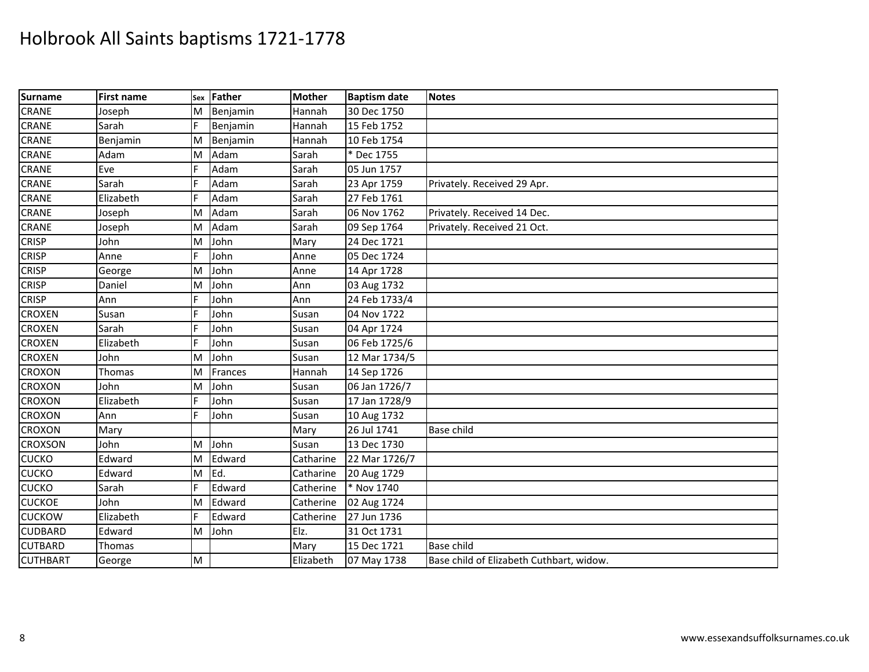| Surname         | <b>First name</b> |   | sex Father | <b>Mother</b> | <b>Baptism date</b> | <b>Notes</b>                             |
|-----------------|-------------------|---|------------|---------------|---------------------|------------------------------------------|
| <b>CRANE</b>    | Joseph            | M | Benjamin   | Hannah        | 30 Dec 1750         |                                          |
| <b>CRANE</b>    | Sarah             | E | Benjamin   | Hannah        | 15 Feb 1752         |                                          |
| <b>CRANE</b>    | Benjamin          | M | Benjamin   | Hannah        | 10 Feb 1754         |                                          |
| <b>CRANE</b>    | Adam              | M | Adam       | Sarah         | * Dec 1755          |                                          |
| <b>CRANE</b>    | Eve               | F | Adam       | Sarah         | 05 Jun 1757         |                                          |
| <b>CRANE</b>    | Sarah             | E | Adam       | Sarah         | 23 Apr 1759         | Privately. Received 29 Apr.              |
| <b>CRANE</b>    | Elizabeth         |   | Adam       | Sarah         | 27 Feb 1761         |                                          |
| <b>CRANE</b>    | Joseph            | M | Adam       | Sarah         | 06 Nov 1762         | Privately. Received 14 Dec.              |
| <b>CRANE</b>    | Joseph            | M | Adam       | Sarah         | 09 Sep 1764         | Privately. Received 21 Oct.              |
| <b>CRISP</b>    | John              | M | John       | Mary          | 24 Dec 1721         |                                          |
| <b>CRISP</b>    | Anne              | F | John       | Anne          | 05 Dec 1724         |                                          |
| <b>CRISP</b>    | George            | M | John       | Anne          | 14 Apr 1728         |                                          |
| <b>CRISP</b>    | Daniel            | M | John       | Ann           | 03 Aug 1732         |                                          |
| <b>CRISP</b>    | Ann               | F | John       | Ann           | 24 Feb 1733/4       |                                          |
| <b>CROXEN</b>   | Susan             | F | John       | Susan         | 04 Nov 1722         |                                          |
| <b>CROXEN</b>   | Sarah             | F | John       | Susan         | 04 Apr 1724         |                                          |
| <b>CROXEN</b>   | Elizabeth         | E | John       | Susan         | 06 Feb 1725/6       |                                          |
| <b>CROXEN</b>   | John              | M | John       | Susan         | 12 Mar 1734/5       |                                          |
| <b>CROXON</b>   | Thomas            | M | Frances    | Hannah        | 14 Sep 1726         |                                          |
| <b>CROXON</b>   | John              | M | John       | Susan         | 06 Jan 1726/7       |                                          |
| <b>CROXON</b>   | Elizabeth         | F | John       | Susan         | 17 Jan 1728/9       |                                          |
| <b>CROXON</b>   | Ann               | F | John       | Susan         | 10 Aug 1732         |                                          |
| <b>CROXON</b>   | Mary              |   |            | Mary          | 26 Jul 1741         | <b>Base child</b>                        |
| <b>CROXSON</b>  | John              | M | John       | Susan         | 13 Dec 1730         |                                          |
| <b>CUCKO</b>    | Edward            | M | Edward     | Catharine     | 22 Mar 1726/7       |                                          |
| <b>CUCKO</b>    | Edward            | M | Ed.        | Catharine     | 20 Aug 1729         |                                          |
| <b>CUCKO</b>    | Sarah             | F | Edward     | Catherine     | * Nov 1740          |                                          |
| <b>CUCKOE</b>   | John              | M | Edward     | Catherine     | 02 Aug 1724         |                                          |
| <b>CUCKOW</b>   | Elizabeth         |   | Edward     | Catherine     | 27 Jun 1736         |                                          |
| <b>CUDBARD</b>  | Edward            | M | John       | Elz.          | 31 Oct 1731         |                                          |
| <b>CUTBARD</b>  | Thomas            |   |            | Mary          | 15 Dec 1721         | <b>Base child</b>                        |
| <b>CUTHBART</b> | George            | M |            | Elizabeth     | 07 May 1738         | Base child of Elizabeth Cuthbart, widow. |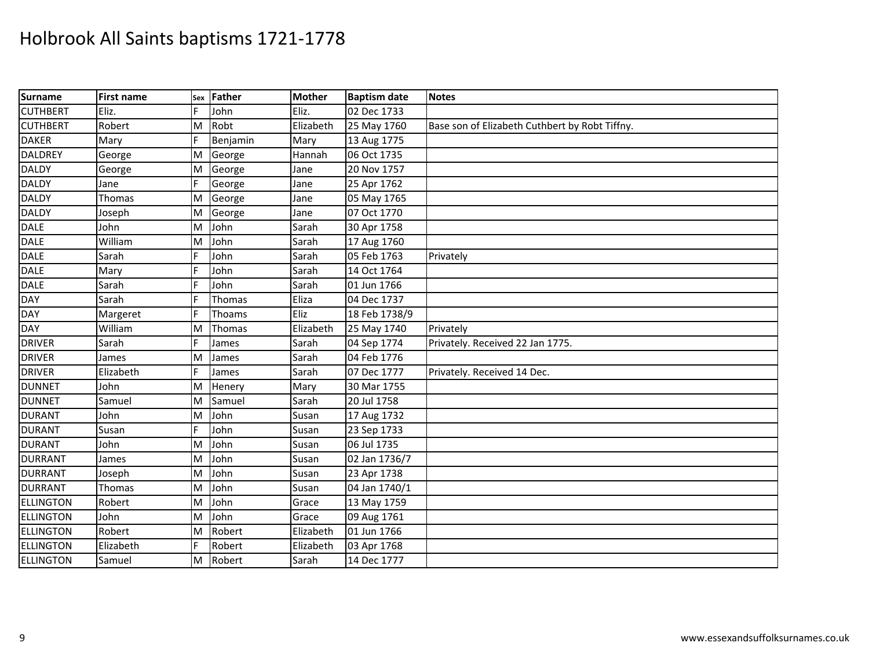| <b>Surname</b>   | <b>First name</b> | Sex | Father   | <b>Mother</b> | <b>Baptism date</b> | <b>Notes</b>                                   |
|------------------|-------------------|-----|----------|---------------|---------------------|------------------------------------------------|
| <b>CUTHBERT</b>  | Eliz.             |     | John     | Eliz.         | 02 Dec 1733         |                                                |
| <b>CUTHBERT</b>  | Robert            | M   | Robt     | Elizabeth     | 25 May 1760         | Base son of Elizabeth Cuthbert by Robt Tiffny. |
| <b>DAKER</b>     | Mary              |     | Benjamin | Mary          | 13 Aug 1775         |                                                |
| <b>DALDREY</b>   | George            | M   | George   | Hannah        | 06 Oct 1735         |                                                |
| <b>DALDY</b>     | George            | M   | George   | Jane          | 20 Nov 1757         |                                                |
| <b>DALDY</b>     | Jane              | F   | George   | Jane          | 25 Apr 1762         |                                                |
| <b>DALDY</b>     | Thomas            | M   | George   | Jane          | 05 May 1765         |                                                |
| <b>DALDY</b>     | Joseph            | M   | George   | Jane          | 07 Oct 1770         |                                                |
| <b>DALE</b>      | John              | M   | John     | Sarah         | 30 Apr 1758         |                                                |
| <b>DALE</b>      | William           | M   | John     | Sarah         | 17 Aug 1760         |                                                |
| <b>DALE</b>      | Sarah             |     | John     | Sarah         | 05 Feb 1763         | Privately                                      |
| <b>DALE</b>      | Mary              |     | John     | Sarah         | 14 Oct 1764         |                                                |
| <b>DALE</b>      | Sarah             |     | John     | Sarah         | 01 Jun 1766         |                                                |
| <b>DAY</b>       | Sarah             |     | Thomas   | Eliza         | 04 Dec 1737         |                                                |
| <b>DAY</b>       | Margeret          |     | Thoams   | Eliz          | 18 Feb 1738/9       |                                                |
| <b>DAY</b>       | William           | M   | Thomas   | Elizabeth     | 25 May 1740         | Privately                                      |
| <b>DRIVER</b>    | Sarah             |     | James    | Sarah         | 04 Sep 1774         | Privately. Received 22 Jan 1775.               |
| <b>DRIVER</b>    | James             | M   | James    | Sarah         | 04 Feb 1776         |                                                |
| <b>DRIVER</b>    | Elizabeth         |     | James    | Sarah         | 07 Dec 1777         | Privately. Received 14 Dec.                    |
| <b>DUNNET</b>    | John              | M   | Henery   | Mary          | 30 Mar 1755         |                                                |
| <b>DUNNET</b>    | Samuel            | M   | Samuel   | Sarah         | 20 Jul 1758         |                                                |
| <b>DURANT</b>    | John              | M   | John     | Susan         | 17 Aug 1732         |                                                |
| <b>DURANT</b>    | Susan             |     | John     | Susan         | 23 Sep 1733         |                                                |
| <b>DURANT</b>    | John              | M   | John     | Susan         | 06 Jul 1735         |                                                |
| <b>DURRANT</b>   | James             | M   | John     | Susan         | 02 Jan 1736/7       |                                                |
| <b>DURRANT</b>   | Joseph            | M   | John     | Susan         | 23 Apr 1738         |                                                |
| <b>DURRANT</b>   | Thomas            | M   | John     | Susan         | 04 Jan 1740/1       |                                                |
| <b>ELLINGTON</b> | Robert            | M   | John     | Grace         | 13 May 1759         |                                                |
| <b>ELLINGTON</b> | John              | M   | John     | Grace         | 09 Aug 1761         |                                                |
| <b>ELLINGTON</b> | Robert            | M   | Robert   | Elizabeth     | 01 Jun 1766         |                                                |
| <b>ELLINGTON</b> | Elizabeth         | E   | Robert   | Elizabeth     | 03 Apr 1768         |                                                |
| <b>ELLINGTON</b> | Samuel            | M   | Robert   | Sarah         | 14 Dec 1777         |                                                |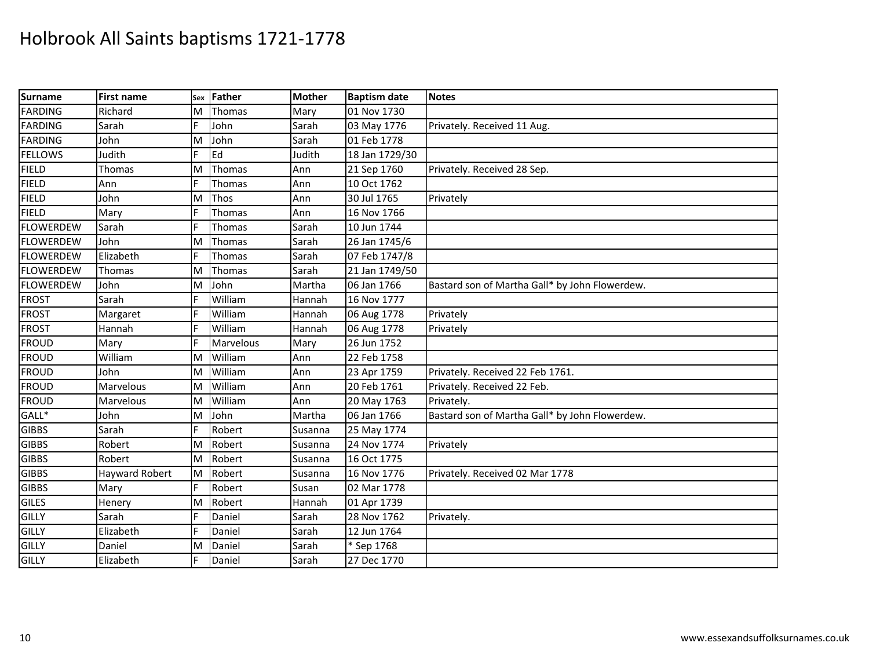| <b>Surname</b>   | <b>First name</b>     | Sex | Father    | <b>Mother</b> | <b>Baptism date</b> | <b>Notes</b>                                   |
|------------------|-----------------------|-----|-----------|---------------|---------------------|------------------------------------------------|
| <b>FARDING</b>   | Richard               | M   | Thomas    | Mary          | 01 Nov 1730         |                                                |
| <b>FARDING</b>   | Sarah                 | F   | John      | Sarah         | 03 May 1776         | Privately. Received 11 Aug.                    |
| <b>FARDING</b>   | John                  | M   | John      | Sarah         | 01 Feb 1778         |                                                |
| <b>FELLOWS</b>   | Judith                | F   | Ed        | Judith        | 18 Jan 1729/30      |                                                |
| <b>FIELD</b>     | Thomas                | M   | Thomas    | Ann           | 21 Sep 1760         | Privately. Received 28 Sep.                    |
| <b>FIELD</b>     | Ann                   |     | Thomas    | Ann           | 10 Oct 1762         |                                                |
| <b>FIELD</b>     | John                  | M   | Thos      | Ann           | 30 Jul 1765         | Privately                                      |
| <b>FIELD</b>     | Mary                  | F   | Thomas    | Ann           | 16 Nov 1766         |                                                |
| <b>FLOWERDEW</b> | Sarah                 | E   | Thomas    | Sarah         | 10 Jun 1744         |                                                |
| <b>FLOWERDEW</b> | John                  | M   | Thomas    | Sarah         | 26 Jan 1745/6       |                                                |
| <b>FLOWERDEW</b> | Elizabeth             |     | Thomas    | Sarah         | 07 Feb 1747/8       |                                                |
| <b>FLOWERDEW</b> | Thomas                | M   | Thomas    | Sarah         | 21 Jan 1749/50      |                                                |
| <b>FLOWERDEW</b> | John                  | M   | John      | Martha        | 06 Jan 1766         | Bastard son of Martha Gall* by John Flowerdew. |
| <b>FROST</b>     | Sarah                 | F   | William   | Hannah        | 16 Nov 1777         |                                                |
| <b>FROST</b>     | Margaret              |     | William   | Hannah        | 06 Aug 1778         | Privately                                      |
| <b>FROST</b>     | Hannah                |     | William   | Hannah        | 06 Aug 1778         | Privately                                      |
| <b>FROUD</b>     | Mary                  | E   | Marvelous | Mary          | 26 Jun 1752         |                                                |
| <b>FROUD</b>     | William               | M   | William   | Ann           | 22 Feb 1758         |                                                |
| <b>FROUD</b>     | John                  | M   | William   | Ann           | 23 Apr 1759         | Privately. Received 22 Feb 1761.               |
| <b>FROUD</b>     | Marvelous             | M   | William   | Ann           | 20 Feb 1761         | Privately. Received 22 Feb.                    |
| <b>FROUD</b>     | Marvelous             | M   | William   | Ann           | 20 May 1763         | Privately.                                     |
| GALL*            | John                  | M   | John      | Martha        | 06 Jan 1766         | Bastard son of Martha Gall* by John Flowerdew. |
| <b>GIBBS</b>     | Sarah                 |     | Robert    | Susanna       | 25 May 1774         |                                                |
| <b>GIBBS</b>     | Robert                | M   | Robert    | Susanna       | 24 Nov 1774         | Privately                                      |
| <b>GIBBS</b>     | Robert                | M   | Robert    | Susanna       | 16 Oct 1775         |                                                |
| <b>GIBBS</b>     | <b>Hayward Robert</b> | M   | Robert    | Susanna       | 16 Nov 1776         | Privately. Received 02 Mar 1778                |
| <b>GIBBS</b>     | Mary                  |     | Robert    | Susan         | 02 Mar 1778         |                                                |
| <b>GILES</b>     | Henery                | M   | Robert    | Hannah        | 01 Apr 1739         |                                                |
| GILLY            | Sarah                 | F   | Daniel    | Sarah         | 28 Nov 1762         | Privately.                                     |
| GILLY            | Elizabeth             |     | Daniel    | Sarah         | 12 Jun 1764         |                                                |
| <b>GILLY</b>     | Daniel                | M   | Daniel    | Sarah         | * Sep 1768          |                                                |
| <b>GILLY</b>     | Elizabeth             | lF. | Daniel    | Sarah         | 27 Dec 1770         |                                                |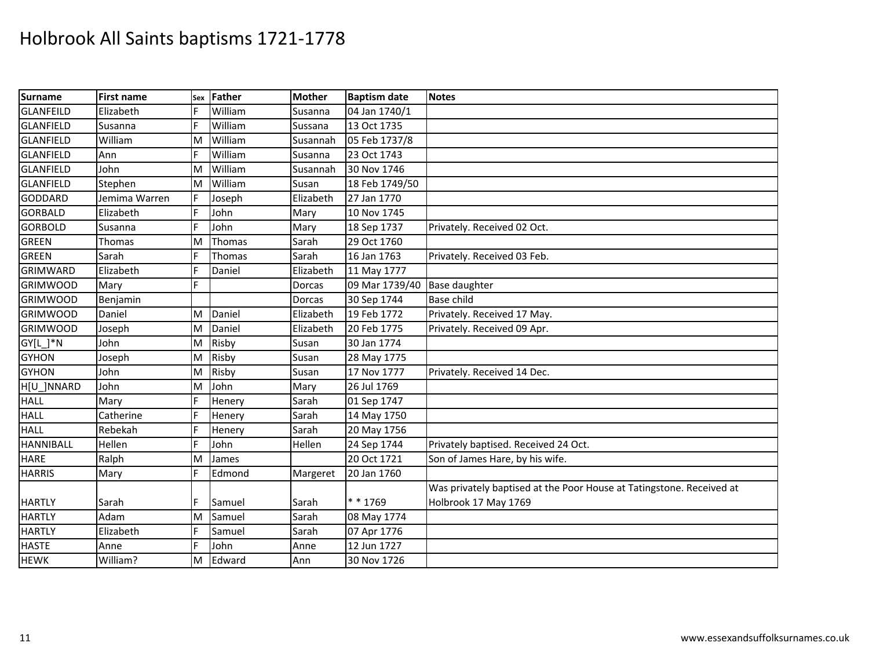| <b>Surname</b>        | <b>First name</b> | Sex | Father  | <b>Mother</b> | <b>Baptism date</b> | <b>Notes</b>                                                         |
|-----------------------|-------------------|-----|---------|---------------|---------------------|----------------------------------------------------------------------|
| <b>GLANFEILD</b>      | Elizabeth         | E   | William | Susanna       | 04 Jan 1740/1       |                                                                      |
| <b>GLANFIELD</b>      | Susanna           |     | William | Sussana       | 13 Oct 1735         |                                                                      |
| <b>GLANFIELD</b>      | William           | M   | William | Susannah      | 05 Feb 1737/8       |                                                                      |
| <b>GLANFIELD</b>      | Ann               | E   | William | Susanna       | 23 Oct 1743         |                                                                      |
| <b>GLANFIELD</b>      | John              | M   | William | Susannah      | 30 Nov 1746         |                                                                      |
| <b>GLANFIELD</b>      | Stephen           | M   | William | Susan         | 18 Feb 1749/50      |                                                                      |
| <b>GODDARD</b>        | Jemima Warren     |     | Joseph  | Elizabeth     | 27 Jan 1770         |                                                                      |
| <b>GORBALD</b>        | Elizabeth         |     | John    | Mary          | 10 Nov 1745         |                                                                      |
| <b>GORBOLD</b>        | Susanna           | F   | John    | Mary          | 18 Sep 1737         | Privately. Received 02 Oct.                                          |
| <b>GREEN</b>          | Thomas            | M   | Thomas  | Sarah         | 29 Oct 1760         |                                                                      |
| <b>GREEN</b>          | Sarah             |     | Thomas  | Sarah         | 16 Jan 1763         | Privately. Received 03 Feb.                                          |
| <b>GRIMWARD</b>       | Elizabeth         |     | Daniel  | Elizabeth     | 11 May 1777         |                                                                      |
| <b>GRIMWOOD</b>       | Mary              | E.  |         | Dorcas        | 09 Mar 1739/40      | <b>Base daughter</b>                                                 |
| <b>GRIMWOOD</b>       | Benjamin          |     |         | Dorcas        | 30 Sep 1744         | <b>Base child</b>                                                    |
| <b>GRIMWOOD</b>       | Daniel            | M   | Daniel  | Elizabeth     | 19 Feb 1772         | Privately. Received 17 May.                                          |
| <b>GRIMWOOD</b>       | Joseph            | M   | Daniel  | Elizabeth     | 20 Feb 1775         | Privately. Received 09 Apr.                                          |
| $GY[L_$ <sup>*N</sup> | John              | M   | Risby   | Susan         | 30 Jan 1774         |                                                                      |
| <b>GYHON</b>          | Joseph            | M   | Risby   | Susan         | 28 May 1775         |                                                                      |
| <b>GYHON</b>          | John              | M   | Risby   | Susan         | 17 Nov 1777         | Privately. Received 14 Dec.                                          |
| H[U_]NNARD            | John              | M   | John    | Mary          | 26 Jul 1769         |                                                                      |
| <b>HALL</b>           | Mary              | F   | Henery  | Sarah         | 01 Sep 1747         |                                                                      |
| <b>HALL</b>           | Catherine         | F   | Henery  | Sarah         | 14 May 1750         |                                                                      |
| <b>HALL</b>           | Rebekah           | E   | Henery  | Sarah         | 20 May 1756         |                                                                      |
| <b>HANNIBALL</b>      | Hellen            | E   | John    | Hellen        | 24 Sep 1744         | Privately baptised. Received 24 Oct.                                 |
| <b>HARE</b>           | Ralph             | M   | James   |               | 20 Oct 1721         | Son of James Hare, by his wife.                                      |
| <b>HARRIS</b>         | Mary              | F   | Edmond  | Margeret      | 20 Jan 1760         |                                                                      |
|                       |                   |     |         |               |                     | Was privately baptised at the Poor House at Tatingstone. Received at |
| <b>HARTLY</b>         | Sarah             |     | Samuel  | Sarah         | ** 1769             | Holbrook 17 May 1769                                                 |
| <b>HARTLY</b>         | Adam              | M   | Samuel  | Sarah         | 08 May 1774         |                                                                      |
| <b>HARTLY</b>         | Elizabeth         | F   | Samuel  | Sarah         | 07 Apr 1776         |                                                                      |
| <b>HASTE</b>          | Anne              | F   | John    | Anne          | 12 Jun 1727         |                                                                      |
| <b>HEWK</b>           | William?          | M   | Edward  | Ann           | 30 Nov 1726         |                                                                      |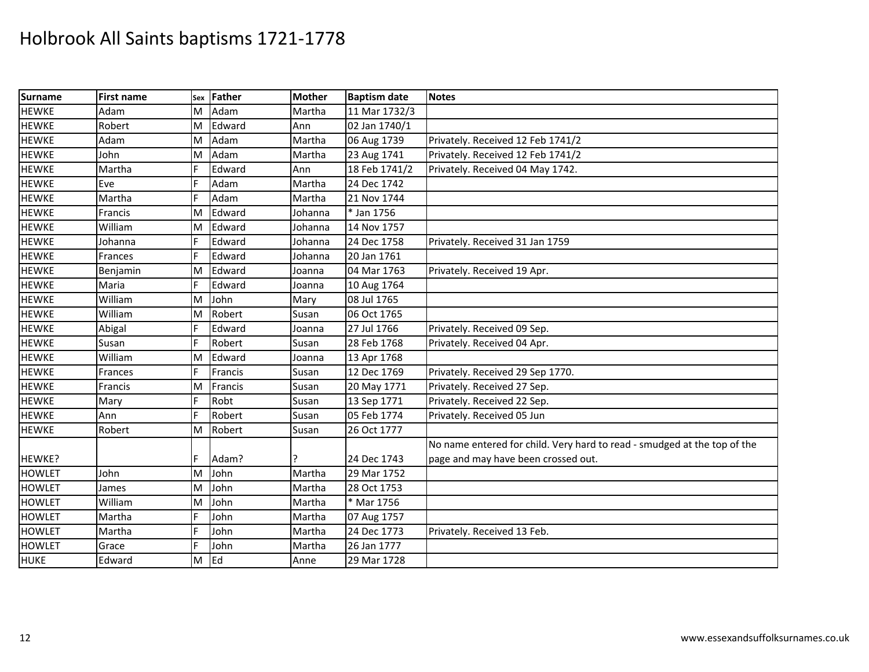| <b>Surname</b> | <b>First name</b> | Sex | Father    | <b>Mother</b> | <b>Baptism date</b> | <b>Notes</b>                                                             |
|----------------|-------------------|-----|-----------|---------------|---------------------|--------------------------------------------------------------------------|
| <b>HEWKE</b>   | Adam              | M   | Adam      | Martha        | 11 Mar 1732/3       |                                                                          |
| <b>HEWKE</b>   | Robert            | M   | Edward    | Ann           | 02 Jan 1740/1       |                                                                          |
| <b>HEWKE</b>   | Adam              | M   | Adam      | Martha        | 06 Aug 1739         | Privately. Received 12 Feb 1741/2                                        |
| <b>HEWKE</b>   | John              | M   | Adam      | Martha        | 23 Aug 1741         | Privately. Received 12 Feb 1741/2                                        |
| <b>HEWKE</b>   | Martha            | F   | Edward    | Ann           | 18 Feb 1741/2       | Privately. Received 04 May 1742.                                         |
| <b>HEWKE</b>   | Eve               | F   | Adam      | Martha        | 24 Dec 1742         |                                                                          |
| <b>HEWKE</b>   | Martha            | F   | Adam      | Martha        | 21 Nov 1744         |                                                                          |
| <b>HEWKE</b>   | Francis           | M   | Edward    | Johanna       | * Jan 1756          |                                                                          |
| <b>HEWKE</b>   | William           | M   | Edward    | Johanna       | 14 Nov 1757         |                                                                          |
| <b>HEWKE</b>   | Johanna           | E   | Edward    | Johanna       | 24 Dec 1758         | Privately. Received 31 Jan 1759                                          |
| <b>HEWKE</b>   | <b>Frances</b>    | E   | Edward    | Johanna       | 20 Jan 1761         |                                                                          |
| <b>HEWKE</b>   | Benjamin          | M   | Edward    | Joanna        | 04 Mar 1763         | Privately. Received 19 Apr.                                              |
| <b>HEWKE</b>   | Maria             | F   | Edward    | Joanna        | 10 Aug 1764         |                                                                          |
| <b>HEWKE</b>   | William           | M   | John      | Mary          | 08 Jul 1765         |                                                                          |
| <b>HEWKE</b>   | William           | M   | Robert    | Susan         | 06 Oct 1765         |                                                                          |
| <b>HEWKE</b>   | Abigal            | F   | Edward    | Joanna        | 27 Jul 1766         | Privately. Received 09 Sep.                                              |
| <b>HEWKE</b>   | Susan             | E   | Robert    | Susan         | 28 Feb 1768         | Privately. Received 04 Apr.                                              |
| <b>HEWKE</b>   | William           | M   | Edward    | Joanna        | 13 Apr 1768         |                                                                          |
| <b>HEWKE</b>   | Frances           | E   | Francis   | Susan         | 12 Dec 1769         | Privately. Received 29 Sep 1770.                                         |
| <b>HEWKE</b>   | Francis           | M   | Francis   | Susan         | 20 May 1771         | Privately. Received 27 Sep.                                              |
| <b>HEWKE</b>   | Mary              | F   | Robt      | Susan         | 13 Sep 1771         | Privately. Received 22 Sep.                                              |
| <b>HEWKE</b>   | Ann               | F   | Robert    | Susan         | 05 Feb 1774         | Privately. Received 05 Jun                                               |
| <b>HEWKE</b>   | Robert            | M   | Robert    | Susan         | 26 Oct 1777         |                                                                          |
|                |                   |     |           |               |                     | No name entered for child. Very hard to read - smudged at the top of the |
| HEWKE?         |                   |     | Adam?     |               | 24 Dec 1743         | page and may have been crossed out.                                      |
| <b>HOWLET</b>  | John              | M   | John      | Martha        | 29 Mar 1752         |                                                                          |
| <b>HOWLET</b>  | James             | M   | John      | Martha        | 28 Oct 1753         |                                                                          |
| <b>HOWLET</b>  | William           | M   | John      | Martha        | * Mar 1756          |                                                                          |
| <b>HOWLET</b>  | Martha            | F   | John      | Martha        | 07 Aug 1757         |                                                                          |
| <b>HOWLET</b>  | Martha            | F   | John      | Martha        | 24 Dec 1773         | Privately. Received 13 Feb.                                              |
| <b>HOWLET</b>  | Grace             | F   | John      | Martha        | 26 Jan 1777         |                                                                          |
| <b>HUKE</b>    | Edward            | M   | <b>Ed</b> | Anne          | 29 Mar 1728         |                                                                          |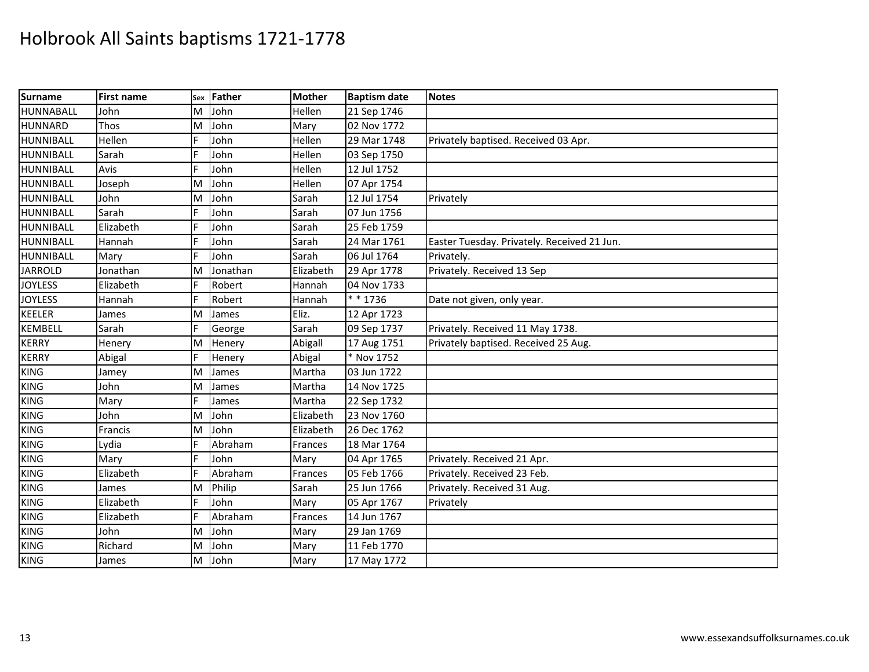| <b>Surname</b>   | <b>First name</b> | Sex | Father   | <b>Mother</b> | <b>Baptism date</b> | <b>Notes</b>                                |
|------------------|-------------------|-----|----------|---------------|---------------------|---------------------------------------------|
| HUNNABALL        | John              | M   | John     | Hellen        | 21 Sep 1746         |                                             |
| <b>HUNNARD</b>   | Thos              | M   | John     | Mary          | 02 Nov 1772         |                                             |
| <b>HUNNIBALL</b> | Hellen            | F   | John     | Hellen        | 29 Mar 1748         | Privately baptised. Received 03 Apr.        |
| <b>HUNNIBALL</b> | Sarah             | F   | John     | Hellen        | 03 Sep 1750         |                                             |
| <b>HUNNIBALL</b> | Avis              | F   | John     | Hellen        | 12 Jul 1752         |                                             |
| HUNNIBALL        | Joseph            | M   | John     | Hellen        | 07 Apr 1754         |                                             |
| <b>HUNNIBALL</b> | John              | M   | John     | Sarah         | 12 Jul 1754         | Privately                                   |
| <b>HUNNIBALL</b> | Sarah             | F   | John     | Sarah         | 07 Jun 1756         |                                             |
| <b>HUNNIBALL</b> | Elizabeth         | E   | John     | Sarah         | 25 Feb 1759         |                                             |
| <b>HUNNIBALL</b> | Hannah            | F   | John     | Sarah         | 24 Mar 1761         | Easter Tuesday. Privately. Received 21 Jun. |
| <b>HUNNIBALL</b> | Mary              | F   | John     | Sarah         | 06 Jul 1764         | Privately.                                  |
| <b>JARROLD</b>   | Jonathan          | M   | Jonathan | Elizabeth     | 29 Apr 1778         | Privately. Received 13 Sep                  |
| <b>JOYLESS</b>   | Elizabeth         | IF. | Robert   | Hannah        | 04 Nov 1733         |                                             |
| <b>JOYLESS</b>   | Hannah            | IF. | Robert   | Hannah        | * * 1736            | Date not given, only year.                  |
| <b>KEELER</b>    | James             | M   | James    | Eliz.         | 12 Apr 1723         |                                             |
| <b>KEMBELL</b>   | Sarah             |     | George   | Sarah         | 09 Sep 1737         | Privately. Received 11 May 1738.            |
| <b>KERRY</b>     | Henery            | M   | Henery   | Abigall       | 17 Aug 1751         | Privately baptised. Received 25 Aug.        |
| <b>KERRY</b>     | Abigal            | F   | Henery   | Abigal        | * Nov 1752          |                                             |
| <b>KING</b>      | Jamey             | M   | James    | Martha        | 03 Jun 1722         |                                             |
| <b>KING</b>      | John              | M   | James    | Martha        | 14 Nov 1725         |                                             |
| <b>KING</b>      | Mary              | F   | James    | Martha        | 22 Sep 1732         |                                             |
| <b>KING</b>      | John              | M   | John     | Elizabeth     | 23 Nov 1760         |                                             |
| <b>KING</b>      | Francis           | M   | John     | Elizabeth     | 26 Dec 1762         |                                             |
| <b>KING</b>      | Lydia             | F   | Abraham  | Frances       | 18 Mar 1764         |                                             |
| <b>KING</b>      | Mary              |     | John     | Mary          | 04 Apr 1765         | Privately. Received 21 Apr.                 |
| <b>KING</b>      | Elizabeth         | F   | Abraham  | Frances       | 05 Feb 1766         | Privately. Received 23 Feb.                 |
| <b>KING</b>      | James             | M   | Philip   | Sarah         | 25 Jun 1766         | Privately. Received 31 Aug.                 |
| <b>KING</b>      | Elizabeth         | F   | John     | Mary          | 05 Apr 1767         | Privately                                   |
| <b>KING</b>      | Elizabeth         |     | Abraham  | Frances       | 14 Jun 1767         |                                             |
| <b>KING</b>      | John              | M   | John     | Mary          | 29 Jan 1769         |                                             |
| <b>KING</b>      | Richard           | M   | John     | Mary          | 11 Feb 1770         |                                             |
| <b>KING</b>      | James             | M   | John     | Mary          | 17 May 1772         |                                             |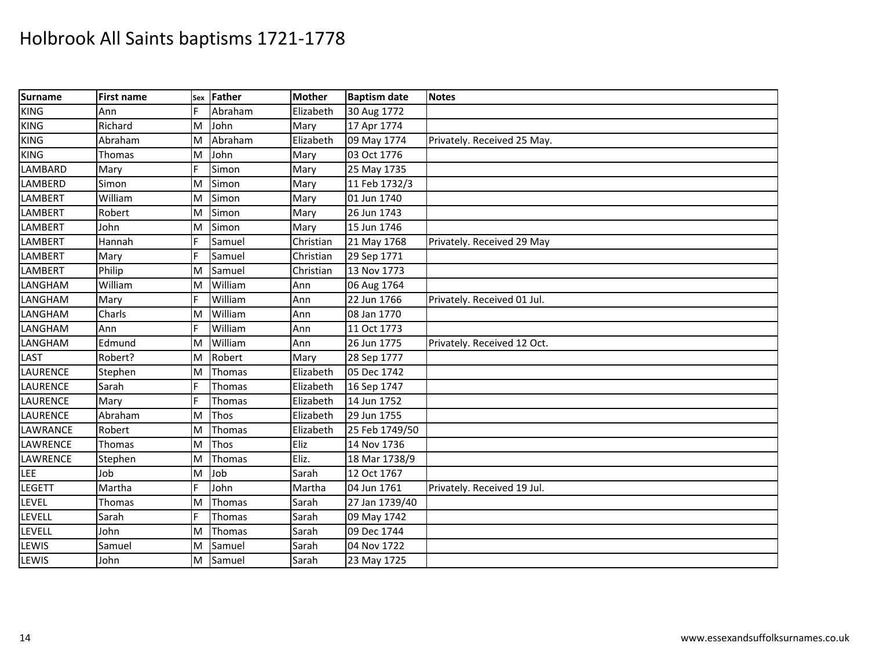| Surname           | <b>First name</b> |   | sex Father | <b>Mother</b> | <b>Baptism date</b> | <b>Notes</b>                |
|-------------------|-------------------|---|------------|---------------|---------------------|-----------------------------|
| $\overline{KING}$ | Ann               | F | Abraham    | Elizabeth     | 30 Aug 1772         |                             |
| <b>KING</b>       | Richard           | M | John       | Mary          | 17 Apr 1774         |                             |
| <b>KING</b>       | Abraham           | M | Abraham    | Elizabeth     | 09 May 1774         | Privately. Received 25 May. |
| <b>KING</b>       | Thomas            | M | John       | Mary          | 03 Oct 1776         |                             |
| LAMBARD           | Mary              | E | Simon      | Mary          | 25 May 1735         |                             |
| LAMBERD           | Simon             | M | Simon      | Mary          | 11 Feb 1732/3       |                             |
| LAMBERT           | William           | M | Simon      | Mary          | 01 Jun 1740         |                             |
| LAMBERT           | Robert            | M | Simon      | Mary          | 26 Jun 1743         |                             |
| <b>LAMBERT</b>    | John              | M | Simon      | Mary          | 15 Jun 1746         |                             |
| LAMBERT           | Hannah            | F | Samuel     | Christian     | 21 May 1768         | Privately. Received 29 May  |
| LAMBERT           | Mary              |   | Samuel     | Christian     | 29 Sep 1771         |                             |
| LAMBERT           | Philip            | M | Samuel     | Christian     | 13 Nov 1773         |                             |
| LANGHAM           | William           | M | William    | Ann           | 06 Aug 1764         |                             |
| LANGHAM           | Mary              | F | William    | Ann           | 22 Jun 1766         | Privately. Received 01 Jul. |
| LANGHAM           | Charls            | M | William    | Ann           | 08 Jan 1770         |                             |
| LANGHAM           | Ann               |   | William    | Ann           | 11 Oct 1773         |                             |
| LANGHAM           | Edmund            | M | William    | Ann           | 26 Jun 1775         | Privately. Received 12 Oct. |
| LAST              | Robert?           | M | Robert     | Mary          | 28 Sep 1777         |                             |
| <b>LAURENCE</b>   | Stephen           | M | Thomas     | Elizabeth     | 05 Dec 1742         |                             |
| <b>LAURENCE</b>   | Sarah             |   | Thomas     | Elizabeth     | 16 Sep 1747         |                             |
| <b>LAURENCE</b>   | Mary              |   | Thomas     | Elizabeth     | 14 Jun 1752         |                             |
| <b>LAURENCE</b>   | Abraham           | M | Thos       | Elizabeth     | 29 Jun 1755         |                             |
| LAWRANCE          | Robert            | M | Thomas     | Elizabeth     | 25 Feb 1749/50      |                             |
| LAWRENCE          | Thomas            | M | Thos       | Eliz          | 14 Nov 1736         |                             |
| LAWRENCE          | Stephen           | M | Thomas     | Eliz.         | 18 Mar 1738/9       |                             |
| LEE               | Job               | M | Job        | Sarah         | 12 Oct 1767         |                             |
| <b>LEGETT</b>     | Martha            | E | John       | Martha        | 04 Jun 1761         | Privately. Received 19 Jul. |
| LEVEL             | Thomas            | M | Thomas     | Sarah         | 27 Jan 1739/40      |                             |
| LEVELL            | Sarah             | F | Thomas     | Sarah         | 09 May 1742         |                             |
| LEVELL            | John              | M | Thomas     | Sarah         | 09 Dec 1744         |                             |
| LEWIS             | Samuel            | M | Samuel     | Sarah         | 04 Nov 1722         |                             |
| LEWIS             | John              | M | Samuel     | Sarah         | 23 May 1725         |                             |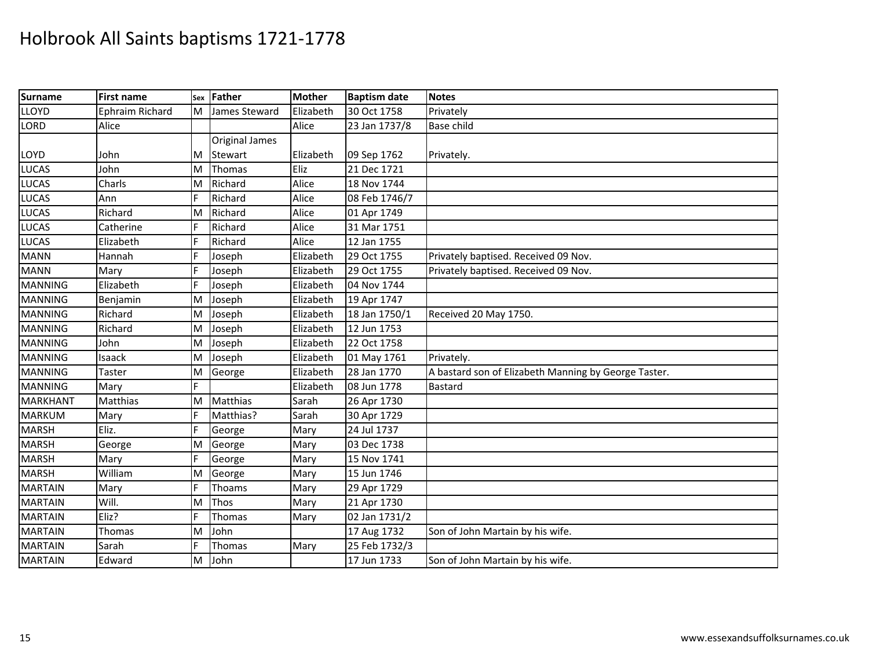| <b>Surname</b>  | <b>First name</b> |   | sex Father            | <b>Mother</b> | <b>Baptism date</b> | <b>Notes</b>                                         |
|-----------------|-------------------|---|-----------------------|---------------|---------------------|------------------------------------------------------|
| <b>LLOYD</b>    | Ephraim Richard   | M | James Steward         | Elizabeth     | 30 Oct 1758         | Privately                                            |
| <b>LORD</b>     | Alice             |   |                       | Alice         | 23 Jan 1737/8       | <b>Base child</b>                                    |
|                 |                   |   | <b>Original James</b> |               |                     |                                                      |
| <b>LOYD</b>     | John              | M | Stewart               | Elizabeth     | 09 Sep 1762         | Privately.                                           |
| <b>LUCAS</b>    | John              | M | Thomas                | Eliz          | 21 Dec 1721         |                                                      |
| <b>LUCAS</b>    | Charls            | M | Richard               | Alice         | 18 Nov 1744         |                                                      |
| <b>LUCAS</b>    | Ann               |   | Richard               | Alice         | 08 Feb 1746/7       |                                                      |
| <b>LUCAS</b>    | Richard           | M | Richard               | Alice         | 01 Apr 1749         |                                                      |
| <b>LUCAS</b>    | Catherine         | F | Richard               | Alice         | 31 Mar 1751         |                                                      |
| <b>LUCAS</b>    | Elizabeth         |   | Richard               | Alice         | 12 Jan 1755         |                                                      |
| <b>MANN</b>     | Hannah            |   | Joseph                | Elizabeth     | 29 Oct 1755         | Privately baptised. Received 09 Nov.                 |
| <b>MANN</b>     | Mary              |   | Joseph                | Elizabeth     | 29 Oct 1755         | Privately baptised. Received 09 Nov.                 |
| <b>MANNING</b>  | Elizabeth         | F | Joseph                | Elizabeth     | 04 Nov 1744         |                                                      |
| <b>MANNING</b>  | Benjamin          | M | Joseph                | Elizabeth     | 19 Apr 1747         |                                                      |
| <b>MANNING</b>  | Richard           | M | Joseph                | Elizabeth     | 18 Jan 1750/1       | Received 20 May 1750.                                |
| <b>MANNING</b>  | Richard           | M | Joseph                | Elizabeth     | 12 Jun 1753         |                                                      |
| <b>MANNING</b>  | John              | M | Joseph                | Elizabeth     | 22 Oct 1758         |                                                      |
| <b>MANNING</b>  | Isaack            | M | Joseph                | Elizabeth     | 01 May 1761         | Privately.                                           |
| <b>MANNING</b>  | Taster            | M | George                | Elizabeth     | 28 Jan 1770         | A bastard son of Elizabeth Manning by George Taster. |
| <b>MANNING</b>  | Mary              |   |                       | Elizabeth     | 08 Jun 1778         | Bastard                                              |
| <b>MARKHANT</b> | Matthias          | M | Matthias              | Sarah         | 26 Apr 1730         |                                                      |
| <b>MARKUM</b>   | Mary              | F | Matthias?             | Sarah         | 30 Apr 1729         |                                                      |
| <b>MARSH</b>    | Eliz.             | F | George                | Mary          | 24 Jul 1737         |                                                      |
| <b>MARSH</b>    | George            | M | George                | Mary          | 03 Dec 1738         |                                                      |
| <b>MARSH</b>    | Mary              |   | George                | Mary          | 15 Nov 1741         |                                                      |
| <b>MARSH</b>    | William           | M | George                | Mary          | 15 Jun 1746         |                                                      |
| <b>MARTAIN</b>  | Mary              | F | Thoams                | Mary          | 29 Apr 1729         |                                                      |
| <b>MARTAIN</b>  | Will.             | M | Thos                  | Mary          | 21 Apr 1730         |                                                      |
| <b>MARTAIN</b>  | Eliz?             |   | Thomas                | Mary          | 02 Jan 1731/2       |                                                      |
| <b>MARTAIN</b>  | Thomas            | M | John                  |               | 17 Aug 1732         | Son of John Martain by his wife.                     |
| <b>MARTAIN</b>  | Sarah             | E | Thomas                | Mary          | 25 Feb 1732/3       |                                                      |
| <b>MARTAIN</b>  | Edward            | M | John                  |               | 17 Jun 1733         | Son of John Martain by his wife.                     |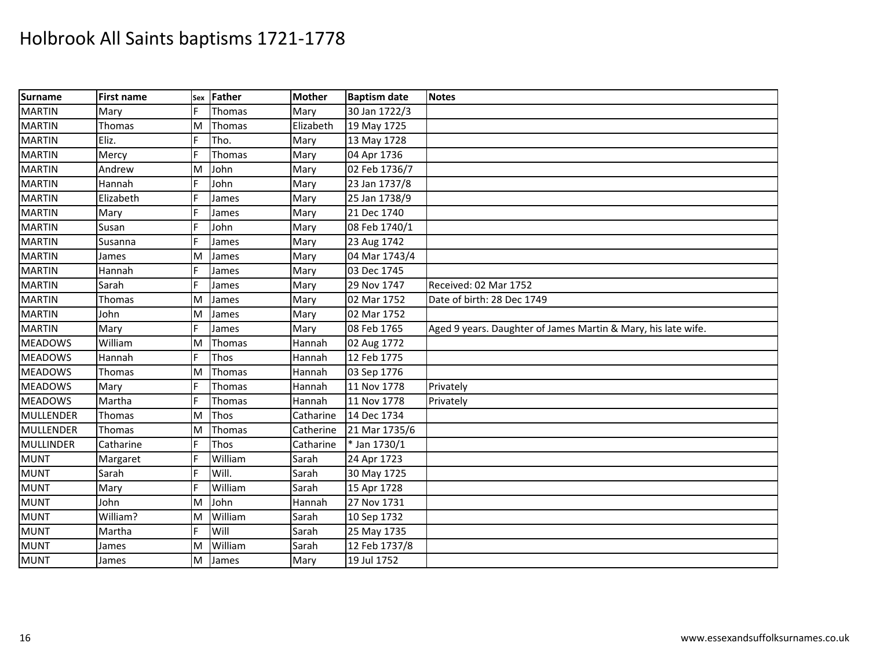| <b>Surname</b>   | <b>First name</b> | Sex | Father  | <b>Mother</b> | <b>Baptism date</b> | <b>Notes</b>                                                  |
|------------------|-------------------|-----|---------|---------------|---------------------|---------------------------------------------------------------|
| <b>MARTIN</b>    | Mary              |     | Thomas  | Mary          | 30 Jan 1722/3       |                                                               |
| <b>MARTIN</b>    | Thomas            | M   | Thomas  | Elizabeth     | 19 May 1725         |                                                               |
| <b>MARTIN</b>    | Eliz.             |     | Tho.    | Mary          | 13 May 1728         |                                                               |
| <b>MARTIN</b>    | Mercy             |     | Thomas  | Mary          | 04 Apr 1736         |                                                               |
| <b>MARTIN</b>    | Andrew            | M   | John    | Mary          | 02 Feb 1736/7       |                                                               |
| <b>MARTIN</b>    | Hannah            | F   | John    | Mary          | 23 Jan 1737/8       |                                                               |
| <b>MARTIN</b>    | Elizabeth         |     | James   | Mary          | 25 Jan 1738/9       |                                                               |
| <b>MARTIN</b>    | Mary              |     | James   | Mary          | 21 Dec 1740         |                                                               |
| <b>MARTIN</b>    | Susan             |     | John    | Mary          | 08 Feb 1740/1       |                                                               |
| <b>MARTIN</b>    | Susanna           |     | James   | Mary          | 23 Aug 1742         |                                                               |
| <b>MARTIN</b>    | James             | M   | James   | Mary          | 04 Mar 1743/4       |                                                               |
| <b>MARTIN</b>    | Hannah            |     | James   | Mary          | 03 Dec 1745         |                                                               |
| <b>MARTIN</b>    | Sarah             |     | James   | Mary          | 29 Nov 1747         | Received: 02 Mar 1752                                         |
| <b>MARTIN</b>    | Thomas            | M   | James   | Mary          | 02 Mar 1752         | Date of birth: 28 Dec 1749                                    |
| <b>MARTIN</b>    | John              | M   | James   | Mary          | 02 Mar 1752         |                                                               |
| <b>MARTIN</b>    | Mary              |     | James   | Mary          | 08 Feb 1765         | Aged 9 years. Daughter of James Martin & Mary, his late wife. |
| <b>MEADOWS</b>   | William           | M   | Thomas  | Hannah        | 02 Aug 1772         |                                                               |
| <b>MEADOWS</b>   | Hannah            |     | Thos    | Hannah        | 12 Feb 1775         |                                                               |
| <b>MEADOWS</b>   | Thomas            | M   | Thomas  | Hannah        | 03 Sep 1776         |                                                               |
| <b>MEADOWS</b>   | Mary              |     | Thomas  | Hannah        | 11 Nov 1778         | Privately                                                     |
| <b>MEADOWS</b>   | Martha            |     | Thomas  | Hannah        | 11 Nov 1778         | Privately                                                     |
| MULLENDER        | Thomas            | M   | Thos    | Catharine     | 14 Dec 1734         |                                                               |
| <b>MULLENDER</b> | Thomas            | M   | Thomas  | Catherine     | 21 Mar 1735/6       |                                                               |
| <b>MULLINDER</b> | Catharine         |     | Thos    | Catharine     | * Jan 1730/1        |                                                               |
| <b>MUNT</b>      | Margaret          |     | William | Sarah         | 24 Apr 1723         |                                                               |
| <b>MUNT</b>      | Sarah             |     | Will.   | Sarah         | 30 May 1725         |                                                               |
| <b>MUNT</b>      | Mary              |     | William | Sarah         | 15 Apr 1728         |                                                               |
| <b>MUNT</b>      | John              | M   | John    | Hannah        | 27 Nov 1731         |                                                               |
| <b>MUNT</b>      | William?          | M   | William | Sarah         | 10 Sep 1732         |                                                               |
| <b>MUNT</b>      | Martha            | F   | Will    | Sarah         | 25 May 1735         |                                                               |
| <b>MUNT</b>      | James             | M   | William | Sarah         | 12 Feb 1737/8       |                                                               |
| <b>MUNT</b>      | James             | M   | James   | Mary          | 19 Jul 1752         |                                                               |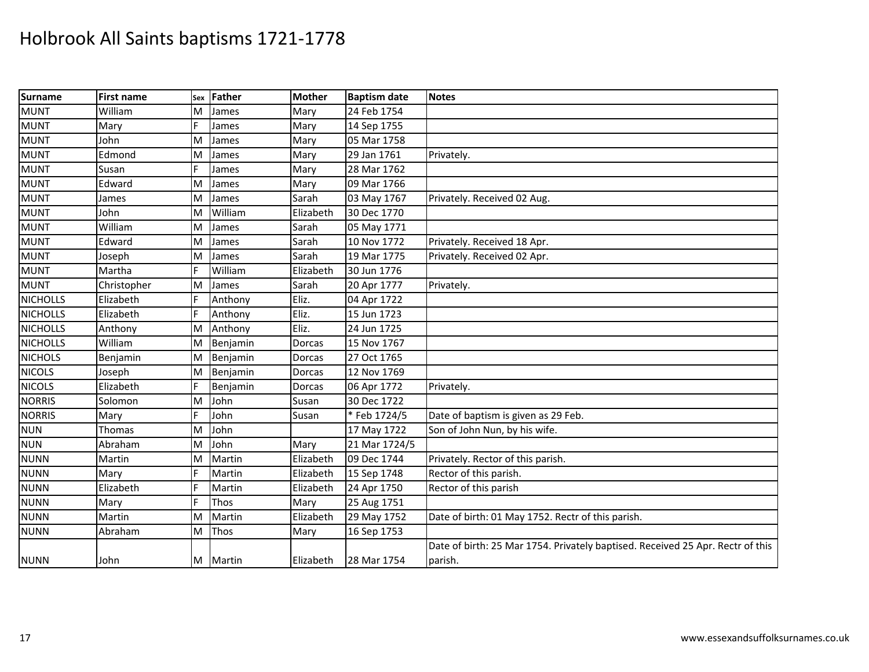| <b>Surname</b>  | <b>First name</b> | Sex | Father   | <b>Mother</b> | <b>Baptism date</b> | <b>Notes</b>                                                                   |
|-----------------|-------------------|-----|----------|---------------|---------------------|--------------------------------------------------------------------------------|
| <b>MUNT</b>     | William           | M   | James    | Mary          | 24 Feb 1754         |                                                                                |
| <b>MUNT</b>     | Mary              | F   | James    | Mary          | 14 Sep 1755         |                                                                                |
| <b>MUNT</b>     | John              | M   | James    | Mary          | 05 Mar 1758         |                                                                                |
| <b>MUNT</b>     | Edmond            | M   | James    | Mary          | 29 Jan 1761         | Privately.                                                                     |
| <b>MUNT</b>     | Susan             | IF. | James    | Mary          | 28 Mar 1762         |                                                                                |
| <b>MUNT</b>     | Edward            | M   | James    | Mary          | 09 Mar 1766         |                                                                                |
| <b>MUNT</b>     | James             | M   | James    | Sarah         | 03 May 1767         | Privately. Received 02 Aug.                                                    |
| <b>MUNT</b>     | John              | M   | William  | Elizabeth     | 30 Dec 1770         |                                                                                |
| <b>MUNT</b>     | William           | M   | James    | Sarah         | 05 May 1771         |                                                                                |
| <b>MUNT</b>     | Edward            | M   | James    | Sarah         | 10 Nov 1772         | Privately. Received 18 Apr.                                                    |
| <b>MUNT</b>     | Joseph            | M   | James    | Sarah         | 19 Mar 1775         | Privately. Received 02 Apr.                                                    |
| <b>MUNT</b>     | Martha            | IF. | William  | Elizabeth     | 30 Jun 1776         |                                                                                |
| <b>MUNT</b>     | Christopher       | M   | James    | Sarah         | 20 Apr 1777         | Privately.                                                                     |
| <b>NICHOLLS</b> | Elizabeth         | F   | Anthony  | Eliz.         | 04 Apr 1722         |                                                                                |
| <b>NICHOLLS</b> | Elizabeth         |     | Anthony  | Eliz.         | 15 Jun 1723         |                                                                                |
| <b>NICHOLLS</b> | Anthony           | M   | Anthony  | Eliz.         | 24 Jun 1725         |                                                                                |
| <b>NICHOLLS</b> | William           | M   | Benjamin | Dorcas        | 15 Nov 1767         |                                                                                |
| <b>NICHOLS</b>  | Benjamin          | M   | Benjamin | Dorcas        | 27 Oct 1765         |                                                                                |
| <b>NICOLS</b>   | Joseph            | M   | Benjamin | Dorcas        | 12 Nov 1769         |                                                                                |
| <b>NICOLS</b>   | Elizabeth         | IF. | Benjamin | Dorcas        | 06 Apr 1772         | Privately.                                                                     |
| <b>NORRIS</b>   | Solomon           | M   | John     | Susan         | 30 Dec 1722         |                                                                                |
| <b>NORRIS</b>   | Mary              | F   | John     | Susan         | *Feb 1724/5         | Date of baptism is given as 29 Feb.                                            |
| <b>NUN</b>      | <b>Thomas</b>     | M   | John     |               | 17 May 1722         | Son of John Nun, by his wife.                                                  |
| <b>NUN</b>      | Abraham           | M   | John     | Mary          | 21 Mar 1724/5       |                                                                                |
| <b>NUNN</b>     | Martin            | M   | Martin   | Elizabeth     | 09 Dec 1744         | Privately. Rector of this parish.                                              |
| <b>NUNN</b>     | Mary              | lF. | Martin   | Elizabeth     | 15 Sep 1748         | Rector of this parish.                                                         |
| <b>NUNN</b>     | Elizabeth         | F   | Martin   | Elizabeth     | 24 Apr 1750         | Rector of this parish                                                          |
| <b>NUNN</b>     | Mary              | IF. | Thos     | Mary          | 25 Aug 1751         |                                                                                |
| <b>NUNN</b>     | Martin            | M   | Martin   | Elizabeth     | 29 May 1752         | Date of birth: 01 May 1752. Rectr of this parish.                              |
| <b>NUNN</b>     | Abraham           | M   | Thos     | Mary          | 16 Sep 1753         |                                                                                |
|                 |                   |     |          |               |                     | Date of birth: 25 Mar 1754. Privately baptised. Received 25 Apr. Rectr of this |
| <b>NUNN</b>     | John              |     | M Martin | Elizabeth     | 28 Mar 1754         | parish.                                                                        |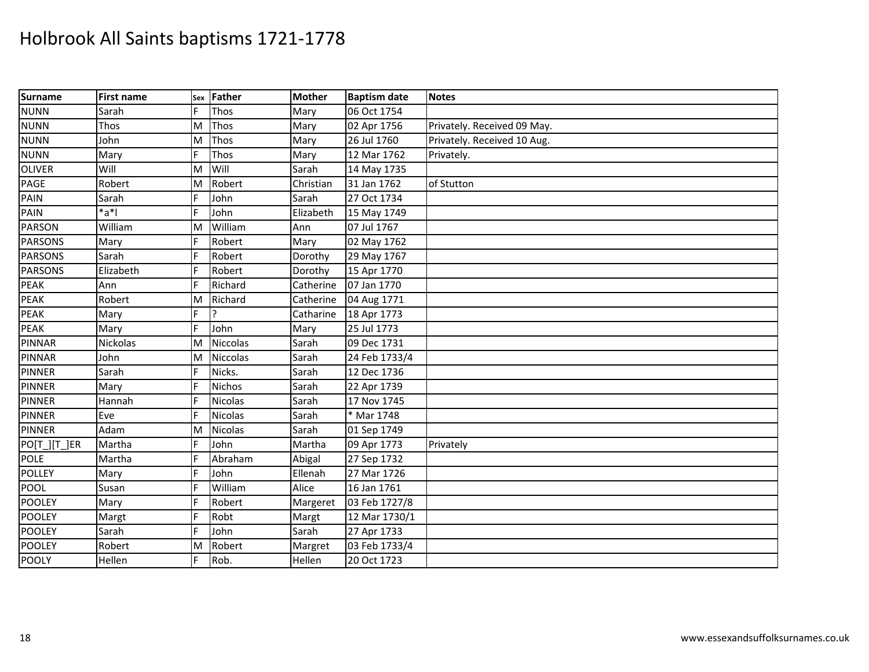| Surname        | <b>First name</b> | Sex | Father          | <b>Mother</b> | <b>Baptism date</b> | <b>Notes</b>                |
|----------------|-------------------|-----|-----------------|---------------|---------------------|-----------------------------|
| <b>NUNN</b>    | Sarah             | E   | Thos            | Mary          | 06 Oct 1754         |                             |
| <b>NUNN</b>    | Thos              | M   | Thos            | Mary          | 02 Apr 1756         | Privately. Received 09 May. |
| <b>NUNN</b>    | John              | M   | Thos            | Mary          | 26 Jul 1760         | Privately. Received 10 Aug. |
| <b>NUNN</b>    | Mary              | F   | Thos            | Mary          | 12 Mar 1762         | Privately.                  |
| <b>OLIVER</b>  | Will              | M   | Will            | Sarah         | 14 May 1735         |                             |
| PAGE           | Robert            | M   | Robert          | Christian     | 31 Jan 1762         | of Stutton                  |
| PAIN           | Sarah             |     | John            | Sarah         | 27 Oct 1734         |                             |
| PAIN           | *a*l              | IF. | John            | Elizabeth     | 15 May 1749         |                             |
| <b>PARSON</b>  | William           | M   | William         | Ann           | 07 Jul 1767         |                             |
| <b>PARSONS</b> | Mary              | F   | Robert          | Mary          | 02 May 1762         |                             |
| <b>PARSONS</b> | Sarah             |     | Robert          | Dorothy       | 29 May 1767         |                             |
| <b>PARSONS</b> | Elizabeth         | F   | Robert          | Dorothy       | 15 Apr 1770         |                             |
| <b>PEAK</b>    | Ann               | F   | Richard         | Catherine     | 07 Jan 1770         |                             |
| <b>PEAK</b>    | Robert            | M   | Richard         | Catherine     | 04 Aug 1771         |                             |
| <b>PEAK</b>    | Mary              |     |                 | Catharine     | 18 Apr 1773         |                             |
| <b>PEAK</b>    | Mary              | lF. | John            | Mary          | 25 Jul 1773         |                             |
| <b>PINNAR</b>  | Nickolas          | M   | <b>Niccolas</b> | Sarah         | 09 Dec 1731         |                             |
| <b>PINNAR</b>  | John              | M   | <b>Niccolas</b> | Sarah         | 24 Feb 1733/4       |                             |
| <b>PINNER</b>  | Sarah             | F   | Nicks.          | Sarah         | 12 Dec 1736         |                             |
| <b>PINNER</b>  | Mary              | F   | <b>Nichos</b>   | Sarah         | 22 Apr 1739         |                             |
| <b>PINNER</b>  | Hannah            | F   | <b>Nicolas</b>  | Sarah         | 17 Nov 1745         |                             |
| <b>PINNER</b>  | Eve               | F   | <b>Nicolas</b>  | Sarah         | * Mar 1748          |                             |
| <b>PINNER</b>  | Adam              | M   | <b>Nicolas</b>  | Sarah         | 01 Sep 1749         |                             |
| PO[T_][T_]ER   | Martha            | IF. | John            | Martha        | 09 Apr 1773         | Privately                   |
| <b>POLE</b>    | Martha            | F   | Abraham         | Abigal        | 27 Sep 1732         |                             |
| <b>POLLEY</b>  | Mary              | F   | John            | Ellenah       | 27 Mar 1726         |                             |
| <b>POOL</b>    | Susan             |     | William         | Alice         | 16 Jan 1761         |                             |
| <b>POOLEY</b>  | Mary              | F   | Robert          | Margeret      | 03 Feb 1727/8       |                             |
| <b>POOLEY</b>  | Margt             | IF. | Robt            | Margt         | 12 Mar 1730/1       |                             |
| <b>POOLEY</b>  | Sarah             | IF. | John            | Sarah         | 27 Apr 1733         |                             |
| <b>POOLEY</b>  | Robert            | M   | Robert          | Margret       | 03 Feb 1733/4       |                             |
| <b>POOLY</b>   | Hellen            | F   | Rob.            | Hellen        | 20 Oct 1723         |                             |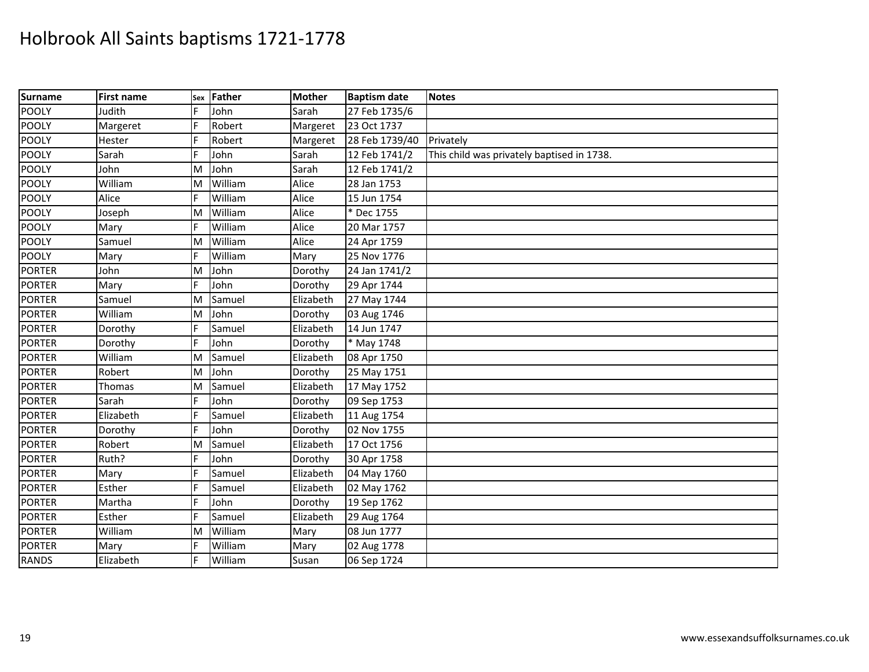| Surname       | <b>First name</b> |    | sex Father | <b>Mother</b> | <b>Baptism date</b> | <b>Notes</b>                               |
|---------------|-------------------|----|------------|---------------|---------------------|--------------------------------------------|
| <b>POOLY</b>  | Judith            | F  | John       | Sarah         | 27 Feb 1735/6       |                                            |
| <b>POOLY</b>  | Margeret          | E  | Robert     | Margeret      | 23 Oct 1737         |                                            |
| <b>POOLY</b>  | Hester            |    | Robert     | Margeret      | 28 Feb 1739/40      | Privately                                  |
| <b>POOLY</b>  | Sarah             | E  | John       | Sarah         | 12 Feb 1741/2       | This child was privately baptised in 1738. |
| <b>POOLY</b>  | John              | M  | John       | Sarah         | 12 Feb 1741/2       |                                            |
| <b>POOLY</b>  | William           | M  | William    | Alice         | 28 Jan 1753         |                                            |
| <b>POOLY</b>  | Alice             |    | William    | Alice         | 15 Jun 1754         |                                            |
| <b>POOLY</b>  | Joseph            | M  | William    | Alice         | Dec 1755            |                                            |
| <b>POOLY</b>  | Mary              |    | William    | Alice         | 20 Mar 1757         |                                            |
| <b>POOLY</b>  | Samuel            | ΙM | William    | Alice         | 24 Apr 1759         |                                            |
| <b>POOLY</b>  | Mary              |    | William    | Mary          | 25 Nov 1776         |                                            |
| <b>PORTER</b> | John              | M  | John       | Dorothy       | 24 Jan 1741/2       |                                            |
| <b>PORTER</b> | Mary              | F  | John       | Dorothy       | 29 Apr 1744         |                                            |
| <b>PORTER</b> | Samuel            | M  | Samuel     | Elizabeth     | 27 May 1744         |                                            |
| <b>PORTER</b> | William           | M  | John       | Dorothy       | 03 Aug 1746         |                                            |
| <b>PORTER</b> | Dorothy           |    | Samuel     | Elizabeth     | 14 Jun 1747         |                                            |
| <b>PORTER</b> | Dorothy           | E  | John       | Dorothy       | * May 1748          |                                            |
| <b>PORTER</b> | William           | M  | Samuel     | Elizabeth     | 08 Apr 1750         |                                            |
| <b>PORTER</b> | Robert            | M  | John       | Dorothy       | 25 May 1751         |                                            |
| <b>PORTER</b> | Thomas            | M  | Samuel     | Elizabeth     | 17 May 1752         |                                            |
| <b>PORTER</b> | Sarah             | E  | John       | Dorothy       | 09 Sep 1753         |                                            |
| <b>PORTER</b> | Elizabeth         |    | Samuel     | Elizabeth     | 11 Aug 1754         |                                            |
| <b>PORTER</b> | Dorothy           | F  | John       | Dorothy       | 02 Nov 1755         |                                            |
| <b>PORTER</b> | Robert            | M  | Samuel     | Elizabeth     | 17 Oct 1756         |                                            |
| <b>PORTER</b> | Ruth?             | F  | John       | Dorothy       | 30 Apr 1758         |                                            |
| <b>PORTER</b> | Mary              |    | Samuel     | Elizabeth     | 04 May 1760         |                                            |
| <b>PORTER</b> | Esther            |    | Samuel     | Elizabeth     | 02 May 1762         |                                            |
| <b>PORTER</b> | Martha            | F  | John       | Dorothy       | 19 Sep 1762         |                                            |
| <b>PORTER</b> | Esther            |    | Samuel     | Elizabeth     | 29 Aug 1764         |                                            |
| <b>PORTER</b> | William           | M  | William    | Mary          | 08 Jun 1777         |                                            |
| <b>PORTER</b> | Mary              | E  | William    | Mary          | 02 Aug 1778         |                                            |
| <b>RANDS</b>  | Elizabeth         | E  | William    | Susan         | 06 Sep 1724         |                                            |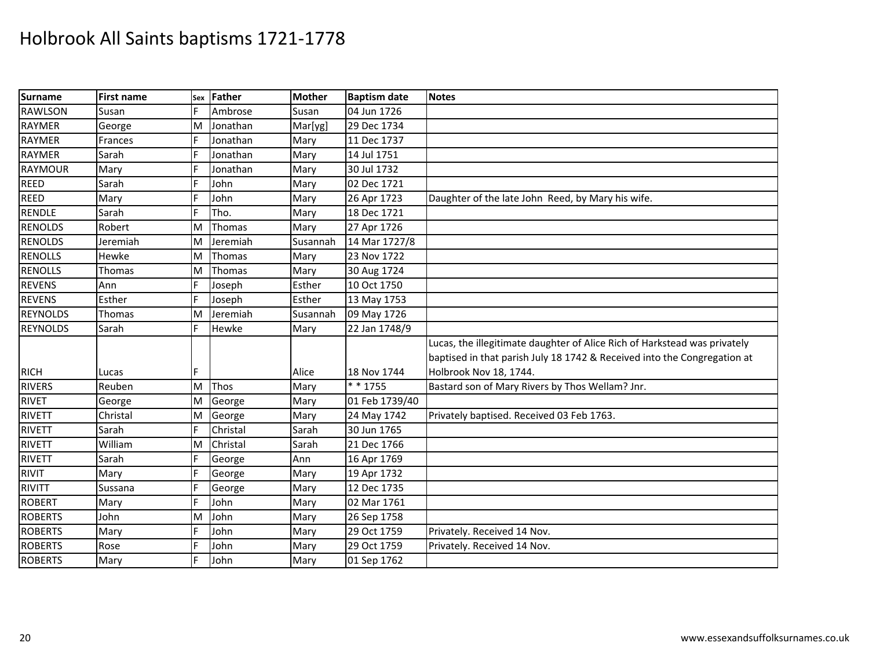| <b>Surname</b>  | <b>First name</b> | Sex | Father   | <b>Mother</b> | <b>Baptism date</b> | <b>Notes</b>                                                              |
|-----------------|-------------------|-----|----------|---------------|---------------------|---------------------------------------------------------------------------|
| <b>RAWLSON</b>  | Susan             | F   | Ambrose  | Susan         | 04 Jun 1726         |                                                                           |
| <b>RAYMER</b>   | George            | M   | Jonathan | Mar[yg]       | 29 Dec 1734         |                                                                           |
| <b>RAYMER</b>   | Frances           |     | Jonathan | Mary          | 11 Dec 1737         |                                                                           |
| <b>RAYMER</b>   | Sarah             | F   | Jonathan | Mary          | 14 Jul 1751         |                                                                           |
| <b>RAYMOUR</b>  | Mary              |     | Jonathan | Mary          | 30 Jul 1732         |                                                                           |
| <b>REED</b>     | Sarah             |     | John     | Mary          | 02 Dec 1721         |                                                                           |
| <b>REED</b>     | Mary              |     | John     | Mary          | 26 Apr 1723         | Daughter of the late John Reed, by Mary his wife.                         |
| <b>RENDLE</b>   | Sarah             | F   | Tho.     | Mary          | 18 Dec 1721         |                                                                           |
| <b>RENOLDS</b>  | Robert            | M   | Thomas   | Mary          | 27 Apr 1726         |                                                                           |
| <b>RENOLDS</b>  | Jeremiah          | M   | Jeremiah | Susannah      | 14 Mar 1727/8       |                                                                           |
| <b>RENOLLS</b>  | Hewke             | M   | Thomas   | Mary          | 23 Nov 1722         |                                                                           |
| <b>RENOLLS</b>  | Thomas            | M   | Thomas   | Mary          | 30 Aug 1724         |                                                                           |
| <b>REVENS</b>   | Ann               | F   | Joseph   | Esther        | 10 Oct 1750         |                                                                           |
| <b>REVENS</b>   | Esther            |     | Joseph   | Esther        | 13 May 1753         |                                                                           |
| <b>REYNOLDS</b> | Thomas            | M   | Jeremiah | Susannah      | 09 May 1726         |                                                                           |
| <b>REYNOLDS</b> | Sarah             | F   | Hewke    | Mary          | 22 Jan 1748/9       |                                                                           |
|                 |                   |     |          |               |                     | Lucas, the illegitimate daughter of Alice Rich of Harkstead was privately |
|                 |                   |     |          |               |                     | baptised in that parish July 18 1742 & Received into the Congregation at  |
| <b>RICH</b>     | Lucas             |     |          | Alice         | 18 Nov 1744         | Holbrook Nov 18, 1744.                                                    |
| <b>RIVERS</b>   | Reuben            | M   | Thos     | Mary          | * * 1755            | Bastard son of Mary Rivers by Thos Wellam? Jnr.                           |
| <b>RIVET</b>    | George            | M   | George   | Mary          | 01 Feb 1739/40      |                                                                           |
| <b>RIVETT</b>   | Christal          | M   | George   | Mary          | 24 May 1742         | Privately baptised. Received 03 Feb 1763.                                 |
| <b>RIVETT</b>   | Sarah             |     | Christal | Sarah         | 30 Jun 1765         |                                                                           |
| <b>RIVETT</b>   | William           | M   | Christal | Sarah         | 21 Dec 1766         |                                                                           |
| <b>RIVETT</b>   | Sarah             |     | George   | Ann           | 16 Apr 1769         |                                                                           |
| <b>RIVIT</b>    | Mary              |     | George   | Mary          | 19 Apr 1732         |                                                                           |
| <b>RIVITT</b>   | Sussana           |     | George   | Mary          | 12 Dec 1735         |                                                                           |
| <b>ROBERT</b>   | Mary              | F   | John     | Mary          | 02 Mar 1761         |                                                                           |
| <b>ROBERTS</b>  | John              | M   | John     | Mary          | 26 Sep 1758         |                                                                           |
| <b>ROBERTS</b>  | Mary              |     | John     | Mary          | 29 Oct 1759         | Privately. Received 14 Nov.                                               |
| <b>ROBERTS</b>  | Rose              |     | John     | Mary          | 29 Oct 1759         | Privately. Received 14 Nov.                                               |
| <b>ROBERTS</b>  | Mary              | F   | John     | Mary          | 01 Sep 1762         |                                                                           |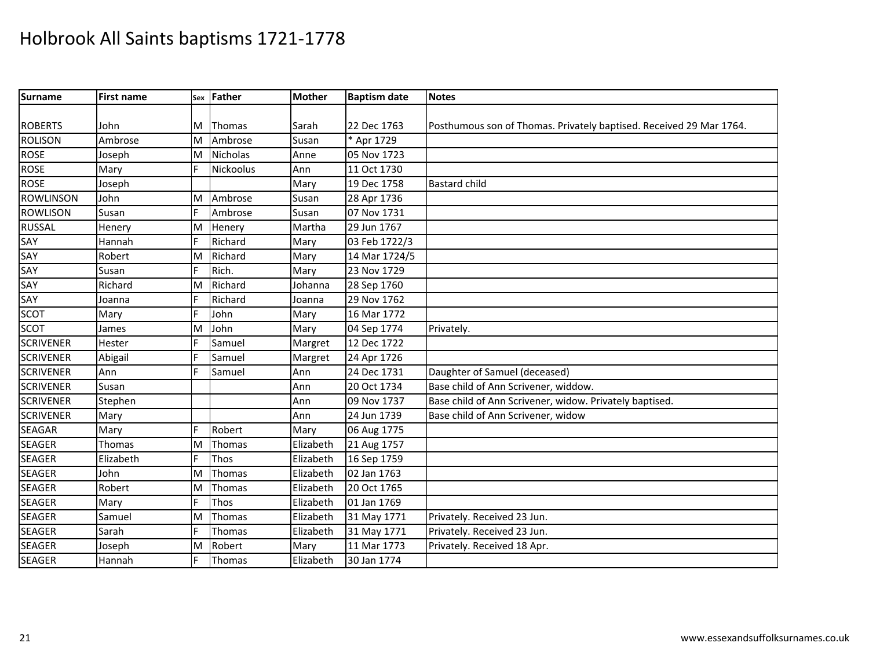| Surname          | <b>First name</b> |    | sex Father    | <b>Mother</b> | <b>Baptism date</b> | <b>Notes</b>                                                        |
|------------------|-------------------|----|---------------|---------------|---------------------|---------------------------------------------------------------------|
|                  |                   |    |               |               |                     |                                                                     |
| <b>ROBERTS</b>   | John              | ΙM | <b>Thomas</b> | Sarah         | 22 Dec 1763         | Posthumous son of Thomas. Privately baptised. Received 29 Mar 1764. |
| <b>ROLISON</b>   | Ambrose           | M  | Ambrose       | Susan         | * Apr 1729          |                                                                     |
| <b>ROSE</b>      | Joseph            | M  | Nicholas      | Anne          | 05 Nov 1723         |                                                                     |
| <b>ROSE</b>      | Mary              | F  | Nickoolus     | Ann           | 11 Oct 1730         |                                                                     |
| <b>ROSE</b>      | Joseph            |    |               | Mary          | 19 Dec 1758         | <b>Bastard child</b>                                                |
| <b>ROWLINSON</b> | John              | M  | Ambrose       | Susan         | 28 Apr 1736         |                                                                     |
| <b>ROWLISON</b>  | Susan             | F  | Ambrose       | Susan         | 07 Nov 1731         |                                                                     |
| <b>RUSSAL</b>    | Henery            | M  | Henery        | Martha        | 29 Jun 1767         |                                                                     |
| SAY              | Hannah            | F  | Richard       | Mary          | 03 Feb 1722/3       |                                                                     |
| SAY              | Robert            | M  | Richard       | Mary          | 14 Mar 1724/5       |                                                                     |
| SAY              | Susan             | F  | Rich.         | Mary          | 23 Nov 1729         |                                                                     |
| SAY              | Richard           | M  | Richard       | Johanna       | 28 Sep 1760         |                                                                     |
| SAY              | Joanna            | F  | Richard       | Joanna        | 29 Nov 1762         |                                                                     |
| <b>SCOT</b>      | Mary              | F  | John          | Mary          | 16 Mar 1772         |                                                                     |
| <b>SCOT</b>      | James             | M  | John          | Mary          | 04 Sep 1774         | Privately.                                                          |
| <b>SCRIVENER</b> | Hester            | F  | Samuel        | Margret       | 12 Dec 1722         |                                                                     |
| <b>SCRIVENER</b> | Abigail           | E  | Samuel        | Margret       | 24 Apr 1726         |                                                                     |
| <b>SCRIVENER</b> | Ann               |    | Samuel        | Ann           | 24 Dec 1731         | Daughter of Samuel (deceased)                                       |
| <b>SCRIVENER</b> | Susan             |    |               | Ann           | 20 Oct 1734         | Base child of Ann Scrivener, widdow.                                |
| <b>SCRIVENER</b> | Stephen           |    |               | Ann           | 09 Nov 1737         | Base child of Ann Scrivener, widow. Privately baptised.             |
| <b>SCRIVENER</b> | Mary              |    |               | Ann           | 24 Jun 1739         | Base child of Ann Scrivener, widow                                  |
| <b>SEAGAR</b>    | Mary              | F  | Robert        | Mary          | 06 Aug 1775         |                                                                     |
| <b>SEAGER</b>    | Thomas            | M  | Thomas        | Elizabeth     | 21 Aug 1757         |                                                                     |
| <b>SEAGER</b>    | Elizabeth         | E  | Thos          | Elizabeth     | 16 Sep 1759         |                                                                     |
| <b>SEAGER</b>    | John              | M  | Thomas        | Elizabeth     | 02 Jan 1763         |                                                                     |
| <b>SEAGER</b>    | Robert            | M  | Thomas        | Elizabeth     | 20 Oct 1765         |                                                                     |
| <b>SEAGER</b>    | Mary              | F  | Thos          | Elizabeth     | 01 Jan 1769         |                                                                     |
| <b>SEAGER</b>    | Samuel            | M  | Thomas        | Elizabeth     | 31 May 1771         | Privately. Received 23 Jun.                                         |
| <b>SEAGER</b>    | Sarah             | E  | Thomas        | Elizabeth     | 31 May 1771         | Privately. Received 23 Jun.                                         |
| <b>SEAGER</b>    | Joseph            | M  | Robert        | Mary          | 11 Mar 1773         | Privately. Received 18 Apr.                                         |
| <b>SEAGER</b>    | Hannah            | F  | Thomas        | Elizabeth     | 30 Jan 1774         |                                                                     |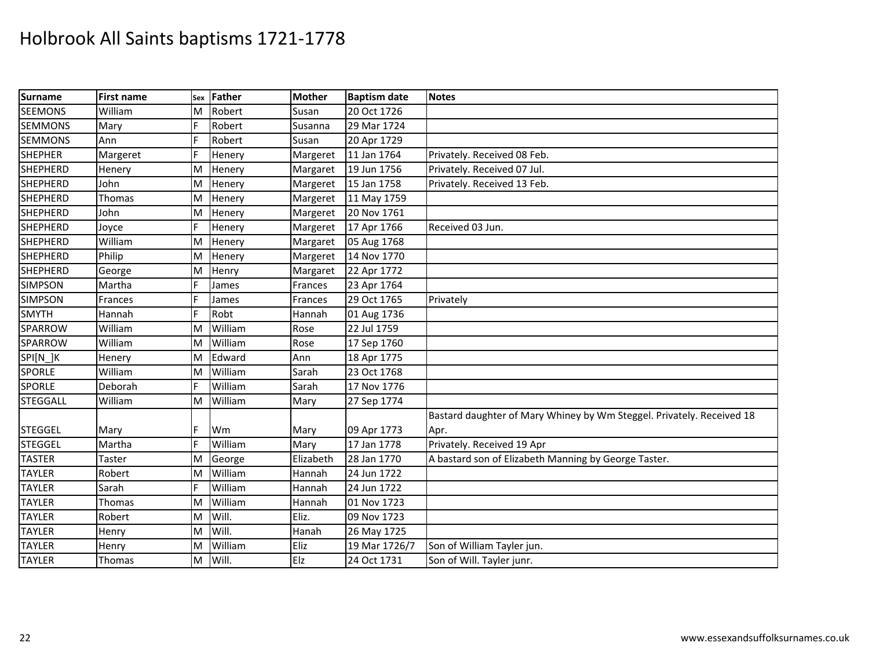| Surname         | <b>First name</b> | Sex | Father  | <b>Mother</b> | <b>Baptism date</b> | <b>Notes</b>                                                          |
|-----------------|-------------------|-----|---------|---------------|---------------------|-----------------------------------------------------------------------|
| <b>SEEMONS</b>  | William           | M   | Robert  | Susan         | 20 Oct 1726         |                                                                       |
| <b>SEMMONS</b>  | Mary              | F   | Robert  | Susanna       | 29 Mar 1724         |                                                                       |
| <b>SEMMONS</b>  | Ann               |     | Robert  | Susan         | 20 Apr 1729         |                                                                       |
| <b>SHEPHER</b>  | Margeret          | F   | Henery  | Margeret      | 11 Jan 1764         | Privately. Received 08 Feb.                                           |
| <b>SHEPHERD</b> | Henery            | M   | Henery  | Margaret      | 19 Jun 1756         | Privately. Received 07 Jul.                                           |
| <b>SHEPHERD</b> | John              | M   | Henery  | Margeret      | 15 Jan 1758         | Privately. Received 13 Feb.                                           |
| <b>SHEPHERD</b> | Thomas            | M   | Henery  | Margeret      | 11 May 1759         |                                                                       |
| <b>SHEPHERD</b> | John              | M   | Henery  | Margeret      | 20 Nov 1761         |                                                                       |
| <b>SHEPHERD</b> | Joyce             | F   | Henery  | Margeret      | 17 Apr 1766         | Received 03 Jun.                                                      |
| <b>SHEPHERD</b> | William           | M   | Henery  | Margaret      | 05 Aug 1768         |                                                                       |
| <b>SHEPHERD</b> | Philip            | M   | Henery  | Margeret      | 14 Nov 1770         |                                                                       |
| <b>SHEPHERD</b> | George            | M   | Henry   | Margaret      | 22 Apr 1772         |                                                                       |
| <b>SIMPSON</b>  | Martha            | IF. | James   | Frances       | 23 Apr 1764         |                                                                       |
| <b>SIMPSON</b>  | Frances           | F   | James   | Frances       | 29 Oct 1765         | Privately                                                             |
| <b>SMYTH</b>    | Hannah            | F   | Robt    | Hannah        | 01 Aug 1736         |                                                                       |
| SPARROW         | William           | M   | William | Rose          | 22 Jul 1759         |                                                                       |
| SPARROW         | William           | ΙM  | William | Rose          | 17 Sep 1760         |                                                                       |
| SPI[N_]K        | Henery            | M   | Edward  | Ann           | 18 Apr 1775         |                                                                       |
| <b>SPORLE</b>   | William           | ΙM  | William | Sarah         | 23 Oct 1768         |                                                                       |
| <b>SPORLE</b>   | Deborah           |     | William | Sarah         | 17 Nov 1776         |                                                                       |
| <b>STEGGALL</b> | William           | M   | William | Mary          | 27 Sep 1774         |                                                                       |
|                 |                   |     |         |               |                     | Bastard daughter of Mary Whiney by Wm Steggel. Privately. Received 18 |
| <b>STEGGEL</b>  | Mary              |     | Wm      | Mary          | 09 Apr 1773         | Apr.                                                                  |
| <b>STEGGEL</b>  | Martha            | F   | William | Mary          | 17 Jan 1778         | Privately. Received 19 Apr                                            |
| <b>TASTER</b>   | Taster            | M   | George  | Elizabeth     | 28 Jan 1770         | A bastard son of Elizabeth Manning by George Taster.                  |
| <b>TAYLER</b>   | Robert            | M   | William | Hannah        | 24 Jun 1722         |                                                                       |
| <b>TAYLER</b>   | Sarah             | IF. | William | Hannah        | 24 Jun 1722         |                                                                       |
| <b>TAYLER</b>   | Thomas            | M   | William | Hannah        | 01 Nov 1723         |                                                                       |
| <b>TAYLER</b>   | Robert            | M   | Will.   | Eliz.         | 09 Nov 1723         |                                                                       |
| <b>TAYLER</b>   | Henry             | M   | Will.   | Hanah         | 26 May 1725         |                                                                       |
| <b>TAYLER</b>   | Henry             | M   | William | Eliz          | 19 Mar 1726/7       | Son of William Tayler jun.                                            |
| <b>TAYLER</b>   | Thomas            | M   | Will.   | Elz           | 24 Oct 1731         | Son of Will. Tayler junr.                                             |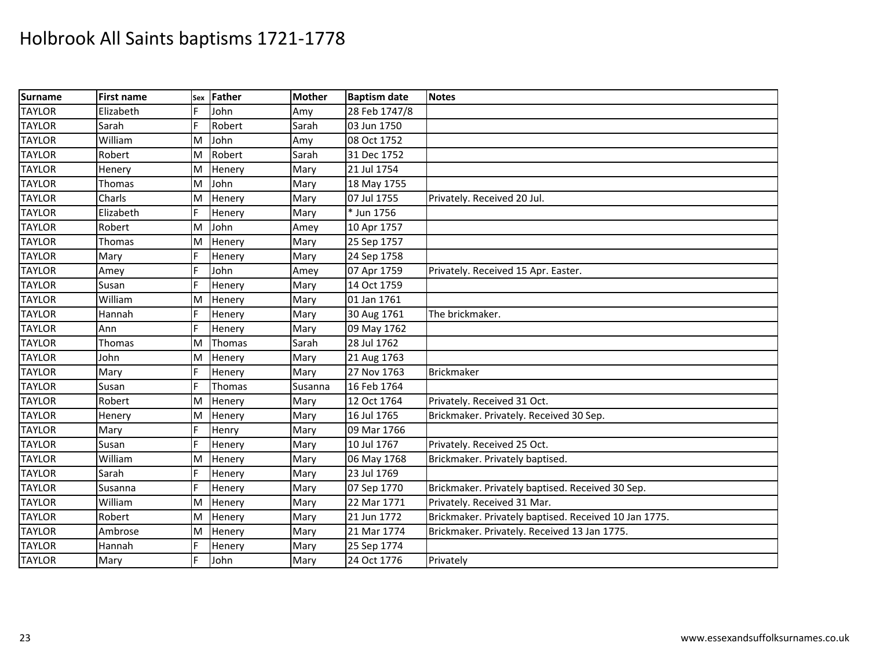| Surname       | <b>First name</b> | Sex | <b>Father</b> | <b>Mother</b> | <b>Baptism date</b> | <b>Notes</b>                                          |
|---------------|-------------------|-----|---------------|---------------|---------------------|-------------------------------------------------------|
| <b>TAYLOR</b> | Elizabeth         | F   | John          | Amy           | 28 Feb 1747/8       |                                                       |
| <b>TAYLOR</b> | Sarah             | F   | Robert        | Sarah         | 03 Jun 1750         |                                                       |
| <b>TAYLOR</b> | William           | M   | John          | Amy           | 08 Oct 1752         |                                                       |
| <b>TAYLOR</b> | Robert            | M   | Robert        | Sarah         | 31 Dec 1752         |                                                       |
| <b>TAYLOR</b> | Henery            | M   | Henery        | Mary          | 21 Jul 1754         |                                                       |
| <b>TAYLOR</b> | Thomas            | M   | John          | Mary          | 18 May 1755         |                                                       |
| <b>TAYLOR</b> | Charls            | M   | Henery        | Mary          | 07 Jul 1755         | Privately. Received 20 Jul.                           |
| <b>TAYLOR</b> | Elizabeth         | IF. | Henery        | Mary          | * Jun 1756          |                                                       |
| <b>TAYLOR</b> | Robert            | M   | John          | Amey          | 10 Apr 1757         |                                                       |
| <b>TAYLOR</b> | Thomas            | M   | Henery        | Mary          | 25 Sep 1757         |                                                       |
| <b>TAYLOR</b> | Mary              |     | Henery        | Mary          | 24 Sep 1758         |                                                       |
| <b>TAYLOR</b> | Amey              | E   | John          | Amey          | 07 Apr 1759         | Privately. Received 15 Apr. Easter.                   |
| <b>TAYLOR</b> | Susan             | F   | Henery        | Mary          | 14 Oct 1759         |                                                       |
| <b>TAYLOR</b> | William           | M   | Henery        | Mary          | 01 Jan 1761         |                                                       |
| <b>TAYLOR</b> | Hannah            |     | Henery        | Mary          | 30 Aug 1761         | The brickmaker.                                       |
| <b>TAYLOR</b> | Ann               | E   | Henery        | Mary          | 09 May 1762         |                                                       |
| <b>TAYLOR</b> | Thomas            | M   | Thomas        | Sarah         | 28 Jul 1762         |                                                       |
| <b>TAYLOR</b> | John              | ΙM  | Henery        | Mary          | 21 Aug 1763         |                                                       |
| <b>TAYLOR</b> | Mary              | IF. | Henery        | Mary          | 27 Nov 1763         | <b>Brickmaker</b>                                     |
| <b>TAYLOR</b> | Susan             | F   | Thomas        | Susanna       | 16 Feb 1764         |                                                       |
| <b>TAYLOR</b> | Robert            | M   | Henery        | Mary          | 12 Oct 1764         | Privately. Received 31 Oct.                           |
| <b>TAYLOR</b> | Henery            | M   | Henery        | Mary          | 16 Jul 1765         | Brickmaker. Privately. Received 30 Sep.               |
| <b>TAYLOR</b> | Mary              |     | Henry         | Mary          | 09 Mar 1766         |                                                       |
| <b>TAYLOR</b> | Susan             | E   | Henery        | Mary          | 10 Jul 1767         | Privately. Received 25 Oct.                           |
| <b>TAYLOR</b> | William           | M   | Henery        | Mary          | 06 May 1768         | Brickmaker. Privately baptised.                       |
| <b>TAYLOR</b> | Sarah             | F   | Henery        | Mary          | 23 Jul 1769         |                                                       |
| <b>TAYLOR</b> | Susanna           |     | Henery        | Mary          | 07 Sep 1770         | Brickmaker. Privately baptised. Received 30 Sep.      |
| <b>TAYLOR</b> | William           | ΙM  | Henery        | Mary          | 22 Mar 1771         | Privately. Received 31 Mar.                           |
| <b>TAYLOR</b> | Robert            | M   | Henery        | Mary          | 21 Jun 1772         | Brickmaker. Privately baptised. Received 10 Jan 1775. |
| <b>TAYLOR</b> | Ambrose           | M   | Henery        | Mary          | 21 Mar 1774         | Brickmaker. Privately. Received 13 Jan 1775.          |
| <b>TAYLOR</b> | Hannah            |     | Henery        | Mary          | 25 Sep 1774         |                                                       |
| <b>TAYLOR</b> | Mary              | F   | John          | Mary          | 24 Oct 1776         | Privately                                             |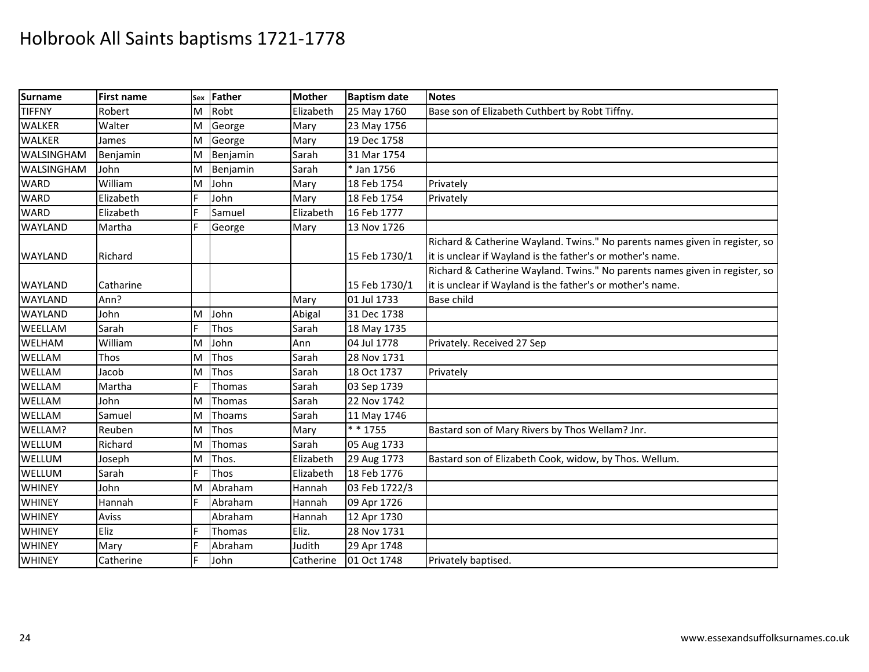| Surname           | <b>First name</b> | Sex | Father      | <b>Mother</b> | <b>Baptism date</b> | <b>Notes</b>                                                                |
|-------------------|-------------------|-----|-------------|---------------|---------------------|-----------------------------------------------------------------------------|
| <b>TIFFNY</b>     | Robert            | M   | Robt        | Elizabeth     | 25 May 1760         | Base son of Elizabeth Cuthbert by Robt Tiffny.                              |
| <b>WALKER</b>     | Walter            | M   | George      | Mary          | 23 May 1756         |                                                                             |
| <b>WALKER</b>     | James             | M   | George      | Mary          | 19 Dec 1758         |                                                                             |
| <b>WALSINGHAM</b> | Benjamin          | M   | Benjamin    | Sarah         | 31 Mar 1754         |                                                                             |
| <b>WALSINGHAM</b> | John              | M   | Benjamin    | Sarah         | * Jan 1756          |                                                                             |
| <b>WARD</b>       | William           | M   | John        | Mary          | 18 Feb 1754         | Privately                                                                   |
| <b>WARD</b>       | Elizabeth         |     | John        | Mary          | 18 Feb 1754         | Privately                                                                   |
| <b>WARD</b>       | Elizabeth         |     | Samuel      | Elizabeth     | 16 Feb 1777         |                                                                             |
| <b>WAYLAND</b>    | Martha            | E   | George      | Mary          | 13 Nov 1726         |                                                                             |
|                   |                   |     |             |               |                     | Richard & Catherine Wayland. Twins." No parents names given in register, so |
| <b>WAYLAND</b>    | Richard           |     |             |               | 15 Feb 1730/1       | it is unclear if Wayland is the father's or mother's name.                  |
|                   |                   |     |             |               |                     | Richard & Catherine Wayland. Twins." No parents names given in register, so |
| <b>WAYLAND</b>    | Catharine         |     |             |               | 15 Feb 1730/1       | it is unclear if Wayland is the father's or mother's name.                  |
| <b>WAYLAND</b>    | Ann?              |     |             | Mary          | 01 Jul 1733         | <b>Base child</b>                                                           |
| <b>WAYLAND</b>    | John              | M   | John        | Abigal        | 31 Dec 1738         |                                                                             |
| WEELLAM           | Sarah             | E   | Thos        | Sarah         | 18 May 1735         |                                                                             |
| <b>WELHAM</b>     | William           | M   | John        | Ann           | 04 Jul 1778         | Privately. Received 27 Sep                                                  |
| WELLAM            | Thos              | M   | Thos        | Sarah         | 28 Nov 1731         |                                                                             |
| WELLAM            | Jacob             | M   | Thos        | Sarah         | 18 Oct 1737         | Privately                                                                   |
| WELLAM            | Martha            |     | Thomas      | Sarah         | 03 Sep 1739         |                                                                             |
| WELLAM            | John              | M   | Thomas      | Sarah         | 22 Nov 1742         |                                                                             |
| WELLAM            | Samuel            | M   | Thoams      | Sarah         | 11 May 1746         |                                                                             |
| WELLAM?           | Reuben            | M   | <b>Thos</b> | Mary          | * * 1755            | Bastard son of Mary Rivers by Thos Wellam? Jnr.                             |
| WELLUM            | Richard           | M   | Thomas      | Sarah         | 05 Aug 1733         |                                                                             |
| WELLUM            | Joseph            | M   | Thos.       | Elizabeth     | 29 Aug 1773         | Bastard son of Elizabeth Cook, widow, by Thos. Wellum.                      |
| WELLUM            | Sarah             |     | Thos        | Elizabeth     | 18 Feb 1776         |                                                                             |
| <b>WHINEY</b>     | John              | M   | Abraham     | Hannah        | 03 Feb 1722/3       |                                                                             |
| <b>WHINEY</b>     | Hannah            | E   | Abraham     | Hannah        | 09 Apr 1726         |                                                                             |
| <b>WHINEY</b>     | Aviss             |     | Abraham     | Hannah        | 12 Apr 1730         |                                                                             |
| <b>WHINEY</b>     | Eliz              |     | Thomas      | Eliz.         | 28 Nov 1731         |                                                                             |
| <b>WHINEY</b>     | Mary              |     | Abraham     | Judith        | 29 Apr 1748         |                                                                             |
| <b>WHINEY</b>     | Catherine         | lF. | John        | Catherine     | 01 Oct 1748         | Privately baptised.                                                         |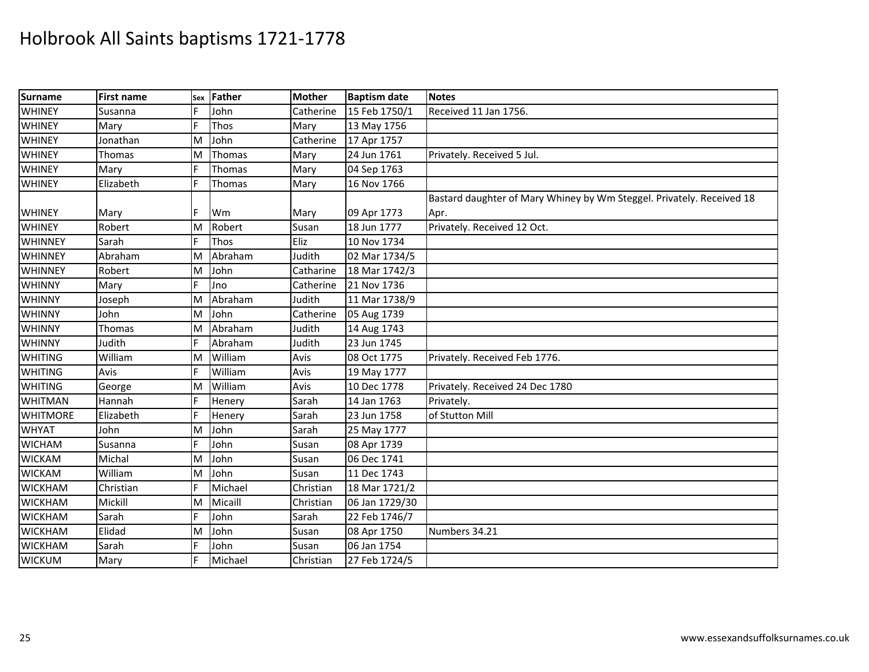| Surname         | <b>First name</b> | Sex | Father  | <b>Mother</b> | <b>Baptism date</b> | <b>Notes</b>                                                          |
|-----------------|-------------------|-----|---------|---------------|---------------------|-----------------------------------------------------------------------|
| <b>WHINEY</b>   | Susanna           | F   | John    | Catherine     | 15 Feb 1750/1       | Received 11 Jan 1756.                                                 |
| <b>WHINEY</b>   | Mary              |     | Thos    | Mary          | 13 May 1756         |                                                                       |
| <b>WHINEY</b>   | Jonathan          | M   | John    | Catherine     | 17 Apr 1757         |                                                                       |
| <b>WHINEY</b>   | Thomas            | M   | Thomas  | Mary          | 24 Jun 1761         | Privately. Received 5 Jul.                                            |
| <b>WHINEY</b>   | Mary              |     | Thomas  | Mary          | 04 Sep 1763         |                                                                       |
| <b>WHINEY</b>   | Elizabeth         | F   | Thomas  | Mary          | 16 Nov 1766         |                                                                       |
|                 |                   |     |         |               |                     | Bastard daughter of Mary Whiney by Wm Steggel. Privately. Received 18 |
| <b>WHINEY</b>   | Mary              |     | Wm      | Mary          | 09 Apr 1773         | Apr.                                                                  |
| <b>WHINEY</b>   | Robert            | M   | Robert  | Susan         | 18 Jun 1777         | Privately. Received 12 Oct.                                           |
| <b>WHINNEY</b>  | Sarah             |     | Thos    | Eliz          | 10 Nov 1734         |                                                                       |
| WHINNEY         | Abraham           | M   | Abraham | Judith        | 02 Mar 1734/5       |                                                                       |
| <b>WHINNEY</b>  | Robert            | M   | John    | Catharine     | 18 Mar 1742/3       |                                                                       |
| <b>WHINNY</b>   | Mary              | F   | Jno     | Catherine     | 21 Nov 1736         |                                                                       |
| <b>WHINNY</b>   | Joseph            | M   | Abraham | Judith        | 11 Mar 1738/9       |                                                                       |
| <b>WHINNY</b>   | John              | M   | John    | Catherine     | 05 Aug 1739         |                                                                       |
| <b>WHINNY</b>   | <b>Thomas</b>     | M   | Abraham | Judith        | 14 Aug 1743         |                                                                       |
| <b>WHINNY</b>   | Judith            |     | Abraham | Judith        | 23 Jun 1745         |                                                                       |
| <b>WHITING</b>  | William           | M   | William | Avis          | 08 Oct 1775         | Privately. Received Feb 1776.                                         |
| <b>WHITING</b>  | Avis              |     | William | Avis          | 19 May 1777         |                                                                       |
| <b>WHITING</b>  | George            | M   | William | Avis          | 10 Dec 1778         | Privately. Received 24 Dec 1780                                       |
| <b>WHITMAN</b>  | Hannah            |     | Henery  | Sarah         | 14 Jan 1763         | Privately.                                                            |
| <b>WHITMORE</b> | Elizabeth         |     | Henery  | Sarah         | 23 Jun 1758         | of Stutton Mill                                                       |
| <b>WHYAT</b>    | John              | M   | John    | Sarah         | 25 May 1777         |                                                                       |
| <b>WICHAM</b>   | Susanna           |     | John    | Susan         | 08 Apr 1739         |                                                                       |
| <b>WICKAM</b>   | Michal            | M   | John    | Susan         | 06 Dec 1741         |                                                                       |
| <b>WICKAM</b>   | William           | M   | John    | Susan         | 11 Dec 1743         |                                                                       |
| <b>WICKHAM</b>  | Christian         | F   | Michael | Christian     | 18 Mar 1721/2       |                                                                       |
| <b>WICKHAM</b>  | Mickill           | M   | Micaill | Christian     | 06 Jan 1729/30      |                                                                       |
| <b>WICKHAM</b>  | Sarah             |     | John    | Sarah         | 22 Feb 1746/7       |                                                                       |
| <b>WICKHAM</b>  | Elidad            | M   | John    | Susan         | 08 Apr 1750         | Numbers 34.21                                                         |
| <b>WICKHAM</b>  | Sarah             | F   | John    | Susan         | 06 Jan 1754         |                                                                       |
| <b>WICKUM</b>   | Mary              |     | Michael | Christian     | 27 Feb 1724/5       |                                                                       |